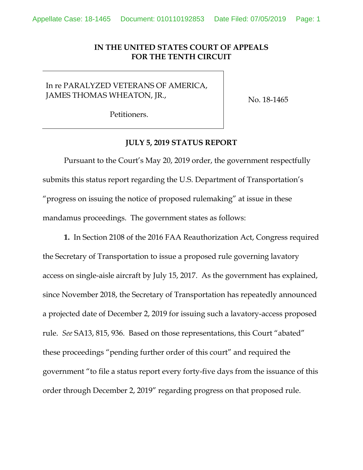## **IN THE UNITED STATES COURT OF APPEALS FOR THE TENTH CIRCUIT**

## In re PARALYZED VETERANS OF AMERICA, JAMES THOMAS WHEATON, JR.,

No. 18-1465

Petitioners.

## **JULY 5, 2019 STATUS REPORT**

Pursuant to the Court's May 20, 2019 order, the government respectfully submits this status report regarding the U.S. Department of Transportation's "progress on issuing the notice of proposed rulemaking" at issue in these mandamus proceedings. The government states as follows:

**1.** In Section 2108 of the 2016 FAA Reauthorization Act, Congress required the Secretary of Transportation to issue a proposed rule governing lavatory access on single-aisle aircraft by July 15, 2017. As the government has explained, since November 2018, the Secretary of Transportation has repeatedly announced a projected date of December 2, 2019 for issuing such a lavatory-access proposed rule. *See* SA13, 815, 936. Based on those representations, this Court "abated" these proceedings "pending further order of this court" and required the government "to file a status report every forty-five days from the issuance of this order through December 2, 2019" regarding progress on that proposed rule.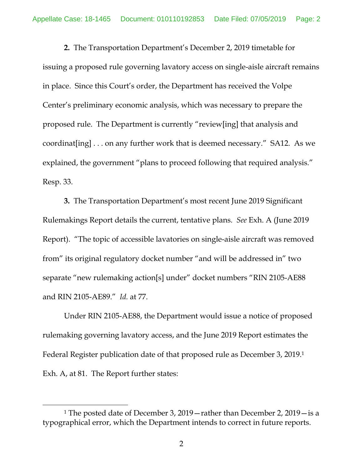**2.** The Transportation Department's December 2, 2019 timetable for issuing a proposed rule governing lavatory access on single-aisle aircraft remains in place. Since this Court's order, the Department has received the Volpe Center's preliminary economic analysis, which was necessary to prepare the proposed rule. The Department is currently "review[ing] that analysis and coordinat[ing] . . . on any further work that is deemed necessary." SA12. As we explained, the government "plans to proceed following that required analysis." Resp. 33.

**3.** The Transportation Department's most recent June 2019 Significant Rulemakings Report details the current, tentative plans. *See* Exh. A (June 2019 Report). "The topic of accessible lavatories on single-aisle aircraft was removed from" its original regulatory docket number "and will be addressed in" two separate "new rulemaking action[s] under" docket numbers "RIN 2105-AE88 and RIN 2105-AE89." *Id.* at 77.

Under RIN 2105-AE88, the Department would issue a notice of proposed rulemaking governing lavatory access, and the June 2019 Report estimates the Federal Register publication date of that proposed rule as December 3, 2019.1 Exh. A, at 81. The Report further states:

 $\overline{\phantom{a}}$ 

<sup>1</sup> The posted date of December 3, 2019—rather than December 2, 2019—is a typographical error, which the Department intends to correct in future reports.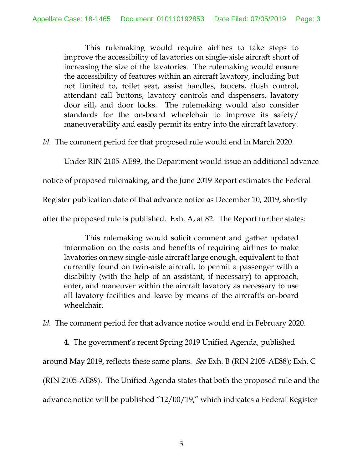This rulemaking would require airlines to take steps to improve the accessibility of lavatories on single-aisle aircraft short of increasing the size of the lavatories. The rulemaking would ensure the accessibility of features within an aircraft lavatory, including but not limited to, toilet seat, assist handles, faucets, flush control, attendant call buttons, lavatory controls and dispensers, lavatory door sill, and door locks. The rulemaking would also consider standards for the on-board wheelchair to improve its safety/ maneuverability and easily permit its entry into the aircraft lavatory.

*Id.* The comment period for that proposed rule would end in March 2020.

Under RIN 2105-AE89, the Department would issue an additional advance

notice of proposed rulemaking, and the June 2019 Report estimates the Federal

Register publication date of that advance notice as December 10, 2019, shortly

after the proposed rule is published. Exh. A, at 82. The Report further states:

This rulemaking would solicit comment and gather updated information on the costs and benefits of requiring airlines to make lavatories on new single-aisle aircraft large enough, equivalent to that currently found on twin-aisle aircraft, to permit a passenger with a disability (with the help of an assistant, if necessary) to approach, enter, and maneuver within the aircraft lavatory as necessary to use all lavatory facilities and leave by means of the aircraft's on-board wheelchair.

*Id.* The comment period for that advance notice would end in February 2020.

**4.** The government's recent Spring 2019 Unified Agenda, published

around May 2019, reflects these same plans. *See* Exh. B (RIN 2105-AE88); Exh. C

(RIN 2105-AE89). The Unified Agenda states that both the proposed rule and the

advance notice will be published "12/00/19," which indicates a Federal Register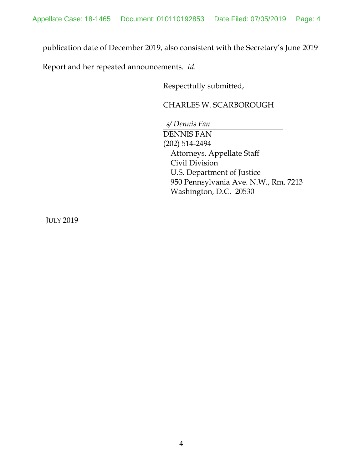publication date of December 2019, also consistent with the Secretary's June 2019

Report and her repeated announcements. *Id.*

Respectfully submitted,

## CHARLES W. SCARBOROUGH

*s/ Dennis Fan*  DENNIS FAN (202) 514-2494 Attorneys, Appellate Staff Civil Division U.S. Department of Justice 950 Pennsylvania Ave. N.W., Rm. 7213 Washington, D.C. 20530

JULY 2019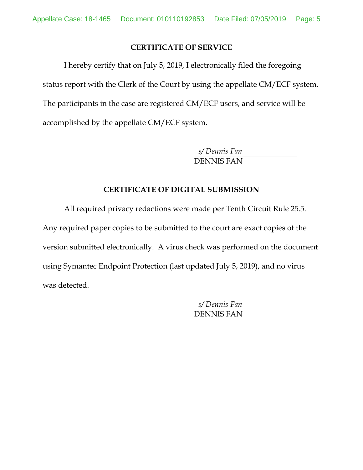## **CERTIFICATE OF SERVICE**

 I hereby certify that on July 5, 2019, I electronically filed the foregoing status report with the Clerk of the Court by using the appellate CM/ECF system. The participants in the case are registered CM/ECF users, and service will be accomplished by the appellate CM/ECF system.

> *s/ Dennis Fan*  DENNIS FAN

## **CERTIFICATE OF DIGITAL SUBMISSION**

 All required privacy redactions were made per Tenth Circuit Rule 25.5. Any required paper copies to be submitted to the court are exact copies of the version submitted electronically. A virus check was performed on the document using Symantec Endpoint Protection (last updated July 5, 2019), and no virus was detected.

> *s/ Dennis Fan*  DENNIS FAN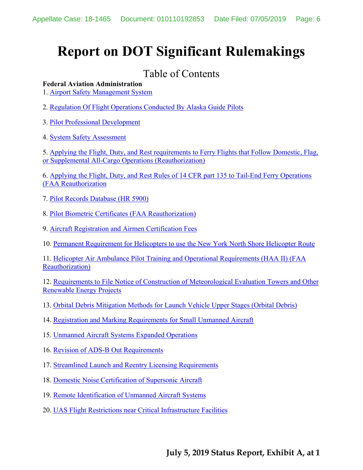# **Report on DOT Significant Rulemakings**

## Table of Contents

## **Federal Aviation Administration**

1. Airport Safety Management System

2. Regulation Of Flight Operations Conducted By Alaska Guide Pilots

3. Pilot Professional Development

4. System Safety Assessment

5. Applying the Flight, Duty, and Rest requirements to Ferry Flights that Follow Domestic, Flag, or Supplemental All-Cargo Operations (Reauthorization)

6. Applying the Flight, Duty, and Rest Rules of 14 CFR part 135 to Tail-End Ferry Operations (FAA Reauthorization

- 7. Pilot Records Database (HR 5900)
- 8. Pilot Biometric Certificates (FAA Reauthorization)
- 9. Aircraft Registration and Airmen Certification Fees
- 10. Permanent Requirement for Helicopters to use the New York North Shore Helicopter Route

11. Helicopter Air Ambulance Pilot Training and Operational Requirements (HAA II) (FAA Reauthorization)

12. Requirements to File Notice of Construction of Meteorological Evaluation Towers and Other Renewable Energy Projects

- 13. Orbital Debris Mitigation Methods for Launch Vehicle Upper Stages (Orbital Debris)
- 14. Registration and Marking Requirements for Small Unmanned Aircraft
- 15. Unmanned Aircraft Systems Expanded Operations
- 16. Revision of ADS-B Out Requirements
- 17. Streamlined Launch and Reentry Licensing Requirements
- 18. Domestic Noise Certification of Supersonic Aircraft
- 19. Remote Identification of Unmanned Aircraft Systems
- 20. UAS Flight Restrictions near Critical Infrastructure Facilities

## **July 5, 2019 Status Report, Exhibit A, at 1**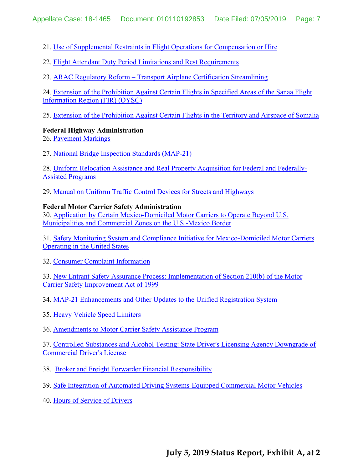21. Use of Supplemental Restraints in Flight Operations for Compensation or Hire

22. Flight Attendant Duty Period Limitations and Rest Requirements

23. ARAC Regulatory Reform – Transport Airplane Certification Streamlining

24. Extension of the Prohibition Against Certain Flights in Specified Areas of the Sanaa Flight Information Region (FIR) (OYSC)

25. Extension of the Prohibition Against Certain Flights in the Territory and Airspace of Somalia

## **Federal Highway Administration**

26. Pavement Markings

27. National Bridge Inspection Standards (MAP-21)

28. Uniform Relocation Assistance and Real Property Acquisition for Federal and Federally-Assisted Programs

29. Manual on Uniform Traffic Control Devices for Streets and Highways

## **Federal Motor Carrier Safety Administration**

30. Application by Certain Mexico-Domiciled Motor Carriers to Operate Beyond U.S. Municipalities and Commercial Zones on the U.S.-Mexico Border

31. Safety Monitoring System and Compliance Initiative for Mexico-Domiciled Motor Carriers Operating in the United States

32. Consumer Complaint Information

33. New Entrant Safety Assurance Process: Implementation of Section 210(b) of the Motor Carrier Safety Improvement Act of 1999

34. MAP-21 Enhancements and Other Updates to the Unified Registration System

35. Heavy Vehicle Speed Limiters

36. Amendments to Motor Carrier Safety Assistance Program

37. Controlled Substances and Alcohol Testing: State Driver's Licensing Agency Downgrade of Commercial Driver's License

38. Broker and Freight Forwarder Financial Responsibility

39. Safe Integration of Automated Driving Systems-Equipped Commercial Motor Vehicles

40. Hours of Service of Drivers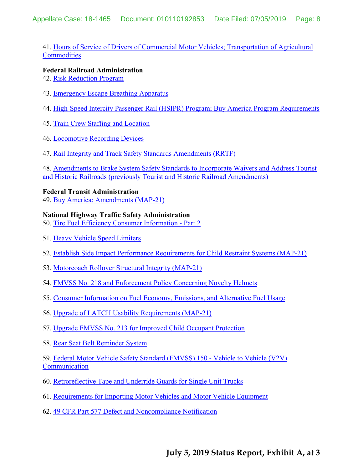41. Hours of Service of Drivers of Commercial Motor Vehicles; Transportation of Agricultural **Commodities** 

## **Federal Railroad Administration**

- 42. Risk Reduction Program
- 43. Emergency Escape Breathing Apparatus
- 44. High-Speed Intercity Passenger Rail (HSIPR) Program; Buy America Program Requirements
- 45. Train Crew Staffing and Location
- 46. Locomotive Recording Devices
- 47. Rail Integrity and Track Safety Standards Amendments (RRTF)

48. Amendments to Brake System Safety Standards to Incorporate Waivers and Address Tourist and Historic Railroads (previously Tourist and Historic Railroad Amendments)

## **Federal Transit Administration**

49. Buy America: Amendments (MAP-21)

## **National Highway Traffic Safety Administration**

50. Tire Fuel Efficiency Consumer Information - Part 2

- 51. Heavy Vehicle Speed Limiters
- 52. Establish Side Impact Performance Requirements for Child Restraint Systems (MAP-21)
- 53. Motorcoach Rollover Structural Integrity (MAP-21)
- 54. FMVSS No. 218 and Enforcement Policy Concerning Novelty Helmets
- 55. Consumer Information on Fuel Economy, Emissions, and Alternative Fuel Usage
- 56. Upgrade of LATCH Usability Requirements (MAP-21)
- 57. Upgrade FMVSS No. 213 for Improved Child Occupant Protection
- 58. Rear Seat Belt Reminder System

59. Federal Motor Vehicle Safety Standard (FMVSS) 150 - Vehicle to Vehicle (V2V) **Communication** 

- 60. Retroreflective Tape and Underride Guards for Single Unit Trucks
- 61. Requirements for Importing Motor Vehicles and Motor Vehicle Equipment
- 62. 49 CFR Part 577 Defect and Noncompliance Notification

## **July 5, 2019 Status Report, Exhibit A, at 3**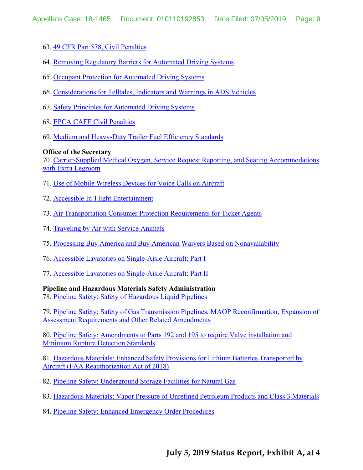- 63. 49 CFR Part 578, Civil Penalties
- 64. Removing Regulatory Barriers for Automated Driving Systems
- 65. Occupant Protection for Automated Driving Systems
- 66. Considerations for Telltales, Indicators and Warnings in ADS Vehicles
- 67. Safety Principles for Automated Driving Systems
- 68. EPCA CAFE Civil Penalties
- 69. Medium and Heavy-Duty Trailer Fuel Efficiency Standards

## **Office of the Secretary**

70. Carrier-Supplied Medical Oxygen, Service Request Reporting, and Seating Accommodations with Extra Legroom

- 71. Use of Mobile Wireless Devices for Voice Calls on Aircraft
- 72. Accessible In-Flight Entertainment
- 73. Air Transportation Consumer Protection Requirements for Ticket Agents
- 74. Traveling by Air with Service Animals
- 75. Processing Buy America and Buy American Waivers Based on Nonavailability
- 76. Accessible Lavatories on Single-Aisle Aircraft: Part I
- 77. Accessible Lavatories on Single-Aisle Aircraft: Part II

## **Pipeline and Hazardous Materials Safety Administration**

78. Pipeline Safety: Safety of Hazardous Liquid Pipelines

79. Pipeline Safety: Safety of Gas Transmission Pipelines, MAOP Reconfirmation, Expansion of Assessment Requirements and Other Related Amendments

80. Pipeline Safety: Amendments to Parts 192 and 195 to require Valve installation and Minimum Rupture Detection Standards

81. Hazardous Materials: Enhanced Safety Provisions for Lithium Batteries Transported by Aircraft (FAA Reauthorization Act of 2018)

- 82. Pipeline Safety: Underground Storage Facilities for Natural Gas
- 83. Hazardous Materials: Vapor Pressure of Unrefined Petroleum Products and Class 3 Materials
- 84. Pipeline Safety: Enhanced Emergency Order Procedures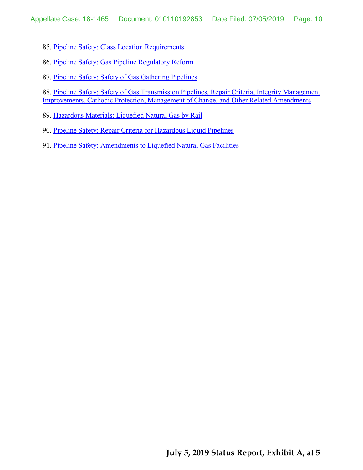85. Pipeline Safety: Class Location Requirements

86. Pipeline Safety: Gas Pipeline Regulatory Reform

87. Pipeline Safety: Safety of Gas Gathering Pipelines

88. Pipeline Safety: Safety of Gas Transmission Pipelines, Repair Criteria, Integrity Management Improvements, Cathodic Protection, Management of Change, and Other Related Amendments

89. Hazardous Materials: Liquefied Natural Gas by Rail

90. Pipeline Safety: Repair Criteria for Hazardous Liquid Pipelines

91. Pipeline Safety: Amendments to Liquefied Natural Gas Facilities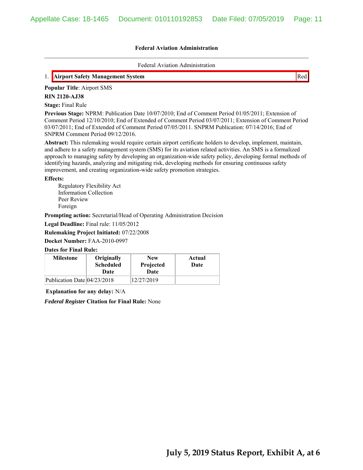Federal Aviation Administration

## 1. **Airport Safety Management System** Red

**Popular Title**: Airport SMS

**RIN 2120-AJ38**

**Stage:** Final Rule

**Previous Stage:** NPRM: Publication Date 10/07/2010; End of Comment Period 01/05/2011; Extension of Comment Period 12/10/2010; End of Extended of Comment Period 03/07/2011; Extension of Comment Period 03/07/2011; End of Extended of Comment Period 07/05/2011. SNPRM Publication: 07/14/2016; End of SNPRM Comment Period 09/12/2016.

**Abstract:** This rulemaking would require certain airport certificate holders to develop, implement, maintain, and adhere to a safety management system (SMS) for its aviation related activities. An SMS is a formalized approach to managing safety by developing an organization-wide safety policy, developing formal methods of identifying hazards, analyzing and mitigating risk, developing methods for ensuring continuous safety improvement, and creating organization-wide safety promotion strategies.

#### **Effects:**

Regulatory Flexibility Act Information Collection Peer Review Foreign

**Prompting action:** Secretarial/Head of Operating Administration Decision

**Legal Deadline:** Final rule: 11/05/2012

**Rulemaking Project Initiated:** 07/22/2008

**Docket Number:** FAA-2010-0997

#### **Dates for Final Rule:**

| <b>Milestone</b>            | Originally<br><b>Scheduled</b><br>Date | <b>New</b><br>Projected<br>Date | Actual<br>Date |
|-----------------------------|----------------------------------------|---------------------------------|----------------|
| Publication Date 04/23/2018 |                                        | 12/27/2019                      |                |

**Explanation for any delay:** N/A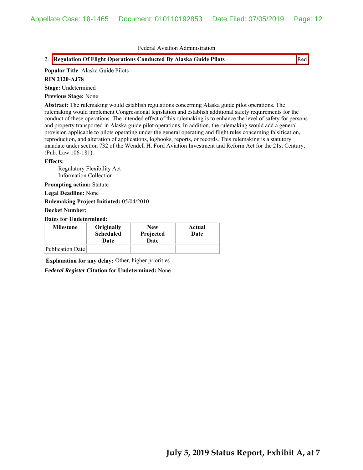## 2. Regulation Of Flight Operations Conducted By Alaska Guide Pilots **Reduced By Alaska Guide Pilots** Red

#### **Popular Title**: Alaska Guide Pilots

## **RIN 2120-AJ78**

**Stage:** Undetermined

#### **Previous Stage:** None

**Abstract:** The rulemaking would establish regulations concerning Alaska guide pilot operations. The rulemaking would implement Congressional legislation and establish additional safety requirements for the conduct of these operations. The intended effect of this rulemaking is to enhance the level of safety for persons and property transported in Alaska guide pilot operations. In addition, the rulemaking would add a general provision applicable to pilots operating under the general operating and flight rules concerning falsification, reproduction, and alteration of applications, logbooks, reports, or records. This rulemaking is a statutory mandate under section 732 of the Wendell H. Ford Aviation Investment and Reform Act for the 21st Century, (Pub. Law 106-181).

#### **Effects:**

Regulatory Flexibility Act Information Collection

**Prompting action:** Statute

**Legal Deadline:** None

**Rulemaking Project Initiated:** 05/04/2010

#### **Docket Number:**

**Dates for Undetermined:**

| <b>Milestone</b> | Originally<br><b>Scheduled</b><br>Date | <b>New</b><br>Projected<br>Date | Actual<br>Date |
|------------------|----------------------------------------|---------------------------------|----------------|
| Publication Date |                                        |                                 |                |

**Explanation for any delay:** Other, higher priorities

*Federal Register* **Citation for Undetermined:** None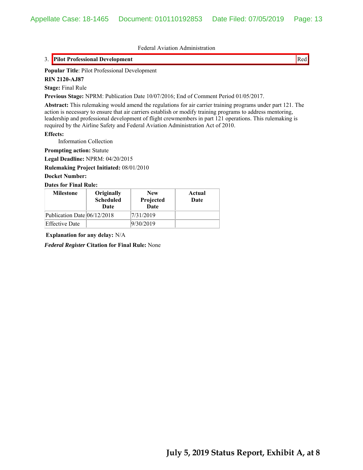## 3. **Pilot Professional Development** Red

**Popular Title**: Pilot Professional Development

**RIN 2120-AJ87**

**Stage:** Final Rule

**Previous Stage:** NPRM: Publication Date 10/07/2016; End of Comment Period 01/05/2017.

**Abstract:** This rulemaking would amend the regulations for air carrier training programs under part 121. The action is necessary to ensure that air carriers establish or modify training programs to address mentoring, leadership and professional development of flight crewmembers in part 121 operations. This rulemaking is required by the Airline Safety and Federal Aviation Administration Act of 2010.

**Effects:**

Information Collection

**Prompting action:** Statute

**Legal Deadline:** NPRM: 04/20/2015

**Rulemaking Project Initiated:** 08/01/2010

**Docket Number:**

#### **Dates for Final Rule:**

| <b>Milestone</b>            | Originally<br><b>Scheduled</b><br>Date | <b>New</b><br>Projected<br><b>Date</b> | Actual<br>Date |
|-----------------------------|----------------------------------------|----------------------------------------|----------------|
| Publication Date 06/12/2018 |                                        | 7/31/2019                              |                |
| <b>Effective Date</b>       |                                        | 9/30/2019                              |                |

**Explanation for any delay:** N/A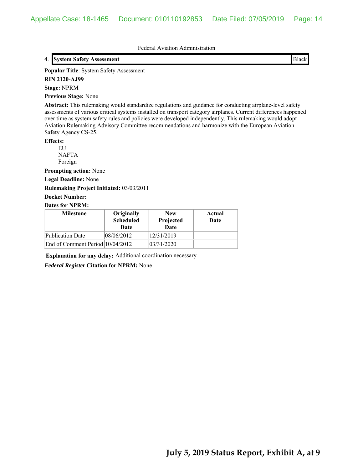## 4. **System Safety Assessment Black**

**Popular Title**: System Safety Assessment

**RIN 2120-AJ99**

#### **Stage:** NPRM

**Previous Stage:** None

**Abstract:** This rulemaking would standardize regulations and guidance for conducting airplane-level safety assessments of various critical systems installed on transport category airplanes. Current differences happened over time as system safety rules and policies were developed independently. This rulemaking would adopt Aviation Rulemaking Advisory Committee recommendations and harmonize with the European Aviation Safety Agency CS-25.

#### **Effects:**

EU NAFTA Foreign

**Prompting action:** None

**Legal Deadline:** None

## **Rulemaking Project Initiated:** 03/03/2011

**Docket Number:**

#### **Dates for NPRM:**

| <b>Milestone</b>                 | Originally<br><b>Scheduled</b><br>Date | <b>New</b><br>Projected<br>Date | Actual<br>Date |
|----------------------------------|----------------------------------------|---------------------------------|----------------|
| <b>Publication Date</b>          | 08/06/2012                             | 12/31/2019                      |                |
| End of Comment Period 10/04/2012 |                                        | 03/31/2020                      |                |

**Explanation for any delay:** Additional coordination necessary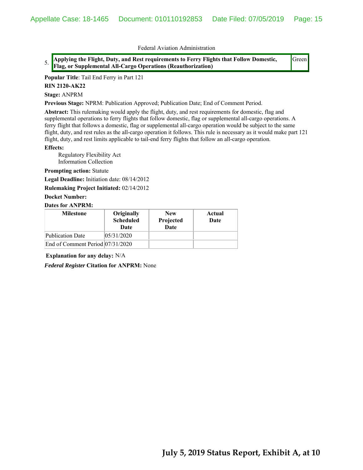5. **Applying the Flight, Duty, and Rest requirements to Ferry Flights that Follow Domestic, Flag, or Supplemental All-Cargo Operations (Reauthorization)**

Green

**Popular Title**: Tail End Ferry in Part 121

**RIN 2120-AK22**

**Stage:** ANPRM

**Previous Stage:** NPRM: Publication Approved; Publication Date; End of Comment Period.

**Abstract:** This rulemaking would apply the flight, duty, and rest requirements for domestic, flag and supplemental operations to ferry flights that follow domestic, flag or supplemental all-cargo operations. A ferry flight that follows a domestic, flag or supplemental all-cargo operation would be subject to the same flight, duty, and rest rules as the all-cargo operation it follows. This rule is necessary as it would make part 121 flight, duty, and rest limits applicable to tail-end ferry flights that follow an all-cargo operation.

#### **Effects:**

Regulatory Flexibility Act Information Collection

**Prompting action:** Statute

**Legal Deadline:** Initiation date: 08/14/2012

**Rulemaking Project Initiated:** 02/14/2012

#### **Docket Number:**

#### **Dates for ANPRM:**

| <b>Milestone</b>                 | Originally<br><b>Scheduled</b><br>Date | <b>New</b><br>Projected<br>Date | Actual<br>Date |
|----------------------------------|----------------------------------------|---------------------------------|----------------|
| <b>Publication Date</b>          | 05/31/2020                             |                                 |                |
| End of Comment Period 07/31/2020 |                                        |                                 |                |

**Explanation for any delay:** N/A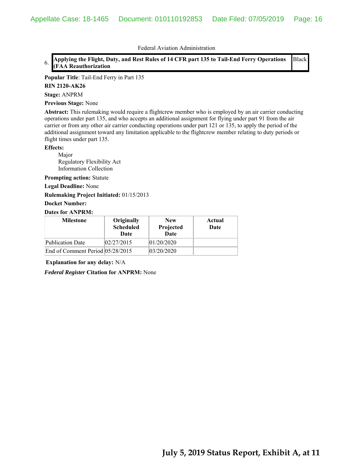#### 6. **Applying the Flight, Duty, and Rest Rules of 14 CFR part 135 to Tail-End Ferry Operations (FAA Reauthorization** Black

#### **Popular Title**: Tail-End Ferry in Part 135

#### **RIN 2120-AK26**

**Stage:** ANPRM

**Previous Stage:** None

**Abstract:** This rulemaking would require a flightcrew member who is employed by an air carrier conducting operations under part 135, and who accepts an additional assignment for flying under part 91 from the air carrier or from any other air carrier conducting operations under part 121 or 135, to apply the period of the additional assignment toward any limitation applicable to the flightcrew member relating to duty periods or flight times under part 135.

#### **Effects:**

Major Regulatory Flexibility Act Information Collection

**Prompting action:** Statute

**Legal Deadline:** None

**Rulemaking Project Initiated:** 01/15/2013

#### **Docket Number:**

## **Dates for ANPRM:**

| <b>Milestone</b>                 | Originally<br><b>Scheduled</b><br>Date | <b>New</b><br>Projected<br>Date | Actual<br>Date |
|----------------------------------|----------------------------------------|---------------------------------|----------------|
| Publication Date                 | 02/27/2015                             | 01/20/2020                      |                |
| End of Comment Period 05/28/2015 |                                        | 03/20/2020                      |                |

**Explanation for any delay:** N/A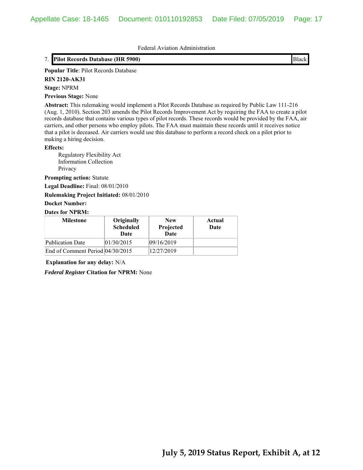## 7. **Pilot Records Database (HR 5900) Black**

**Popular Title**: Pilot Records Database

**RIN 2120-AK31**

#### **Stage:** NPRM

**Previous Stage:** None

**Abstract:** This rulemaking would implement a Pilot Records Database as required by Public Law 111-216 (Aug. 1, 2010). Section 203 amends the Pilot Records Improvement Act by requiring the FAA to create a pilot records database that contains various types of pilot records. These records would be provided by the FAA, air carriers, and other persons who employ pilots. The FAA must maintain these records until it receives notice that a pilot is deceased. Air carriers would use this database to perform a record check on a pilot prior to making a hiring decision.

#### **Effects:**

Regulatory Flexibility Act Information Collection Privacy

**Prompting action:** Statute

**Legal Deadline:** Final: 08/01/2010

**Rulemaking Project Initiated:** 08/01/2010

#### **Docket Number:**

## **Dates for NPRM:**

| <b>Milestone</b>                   | Originally<br><b>Scheduled</b><br>Date | <b>New</b><br>Projected<br>Date | Actual<br>Date |
|------------------------------------|----------------------------------------|---------------------------------|----------------|
| Publication Date                   | 01/30/2015                             | 09/16/2019                      |                |
| End of Comment Period $04/30/2015$ |                                        | 12/27/2019                      |                |

**Explanation for any delay:** N/A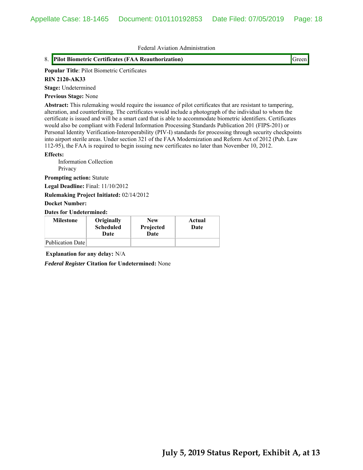## 8. **Pilot Biometric Certificates (FAA Reauthorization)** Green

#### **Popular Title**: Pilot Biometric Certificates

#### **RIN 2120-AK33**

**Stage:** Undetermined

#### **Previous Stage:** None

**Abstract:** This rulemaking would require the issuance of pilot certificates that are resistant to tampering, alteration, and counterfeiting. The certificates would include a photograph of the individual to whom the certificate is issued and will be a smart card that is able to accommodate biometric identifiers. Certificates would also be compliant with Federal Information Processing Standards Publication 201 (FIPS-201) or Personal Identity Verification-Interoperability (PIV-I) standards for processing through security checkpoints into airport sterile areas. Under section 321 of the FAA Modernization and Reform Act of 2012 (Pub. Law 112-95), the FAA is required to begin issuing new certificates no later than November 10, 2012.

#### **Effects:**

 Information Collection Privacy

**Prompting action:** Statute

**Legal Deadline:** Final: 11/10/2012

**Rulemaking Project Initiated:** 02/14/2012

#### **Docket Number:**

**Dates for Undetermined:**

| <b>Milestone</b> | Originally<br><b>Scheduled</b><br>Date | <b>New</b><br>Projected<br>Date | Actual<br>Date |
|------------------|----------------------------------------|---------------------------------|----------------|
| Publication Date |                                        |                                 |                |

**Explanation for any delay:** N/A

*Federal Register* **Citation for Undetermined:** None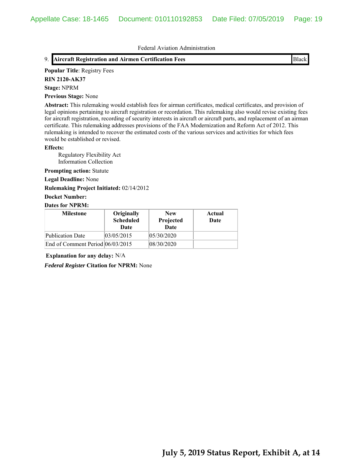## 9. **Aircraft Registration and Airmen Certification Fees Black**

#### **Popular Title**: Registry Fees

**RIN 2120-AK37**

#### **Stage:** NPRM

**Previous Stage:** None

**Abstract:** This rulemaking would establish fees for airman certificates, medical certificates, and provision of legal opinions pertaining to aircraft registration or recordation. This rulemaking also would revise existing fees for aircraft registration, recording of security interests in aircraft or aircraft parts, and replacement of an airman certificate. This rulemaking addresses provisions of the FAA Modernization and Reform Act of 2012. This rulemaking is intended to recover the estimated costs of the various services and activities for which fees would be established or revised.

#### **Effects:**

 Regulatory Flexibility Act Information Collection

## **Prompting action:** Statute

**Legal Deadline:** None

#### **Rulemaking Project Initiated:** 02/14/2012

## **Docket Number:**

## **Dates for NPRM:**

| <b>Milestone</b>                 | Originally<br><b>Scheduled</b><br>Date | <b>New</b><br>Projected<br><b>Date</b> | Actual<br>Date |
|----------------------------------|----------------------------------------|----------------------------------------|----------------|
| <b>Publication Date</b>          | 03/05/2015                             | 05/30/2020                             |                |
| End of Comment Period 06/03/2015 |                                        | 08/30/2020                             |                |

**Explanation for any delay:** N/A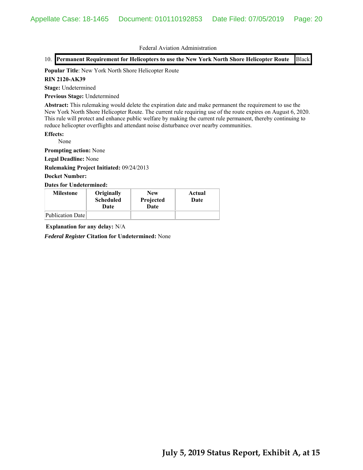## 10. **Permanent Requirement for Helicopters to use the New York North Shore Helicopter Route** Black

#### **Popular Title**: New York North Shore Helicopter Route

#### **RIN 2120-AK39**

**Stage:** Undetermined

**Previous Stage:** Undetermined

**Abstract:** This rulemaking would delete the expiration date and make permanent the requirement to use the New York North Shore Helicopter Route. The current rule requiring use of the route expires on August 6, 2020. This rule will protect and enhance public welfare by making the current rule permanent, thereby continuing to reduce helicopter overflights and attendant noise disturbance over nearby communities.

**Effects:**

None

**Prompting action:** None

**Legal Deadline:** None

**Rulemaking Project Initiated:** 09/24/2013

## **Docket Number:**

**Dates for Undetermined:**

| <b>Milestone</b> | Originally<br><b>Scheduled</b><br>Date | <b>New</b><br>Projected<br>Date | Actual<br>Date |
|------------------|----------------------------------------|---------------------------------|----------------|
| Publication Date |                                        |                                 |                |

**Explanation for any delay:** N/A

*Federal Register* **Citation for Undetermined:** None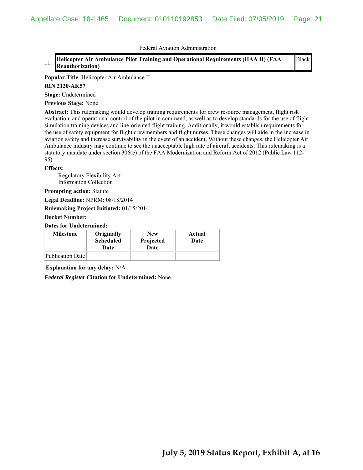#### 11. **Helicopter Air Ambulance Pilot Training and Operational Requirements (HAA II) (FAA Reauthorization)** Black

**Popular Title**: Helicopter Air Ambulance II

#### **RIN 2120-AK57**

**Stage:** Undetermined

**Previous Stage:** None

**Abstract:** This rulemaking would develop training requirements for crew resource management, flight risk evaluation, and operational control of the pilot in command, as well as to develop standards for the use of flight simulation training devices and line-oriented flight training. Additionally, it would establish requirements for the use of safety equipment for flight crewmembers and flight nurses. These changes will aide in the increase in aviation safety and increase survivability in the event of an accident. Without these changes, the Helicopter Air Ambulance industry may continue to see the unacceptable high rate of aircraft accidents. This rulemaking is a statutory mandate under section 306(e) of the FAA Modernization and Reform Act of 2012 (Public Law 112- 95).

#### **Effects:**

 Regulatory Flexibility Act Information Collection

**Prompting action:** Statute

**Legal Deadline:** NPRM: 08/18/2014

**Rulemaking Project Initiated:** 01/15/2014

**Docket Number:**

**Dates for Undetermined:**

| <b>Milestone</b> | Originally<br><b>Scheduled</b><br>Date | <b>New</b><br>Projected<br>Date | Actual<br>Date |
|------------------|----------------------------------------|---------------------------------|----------------|
| Publication Date |                                        |                                 |                |

**Explanation for any delay:** N/A

*Federal Register* **Citation for Undetermined:** None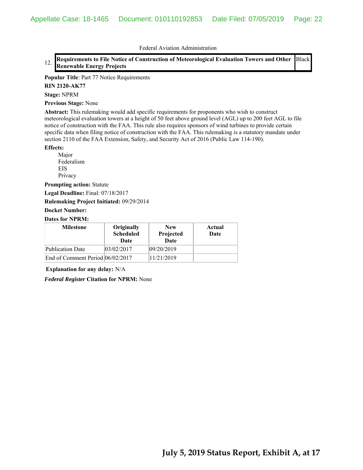#### 12. **Requirements to File Notice of Construction of Meteorological Evaluation Towers and Other Renewable Energy Projects** Black

**Popular Title**: Part 77 Notice Requirements

**RIN 2120-AK77**

**Stage:** NPRM

**Previous Stage:** None

**Abstract:** This rulemaking would add specific requirements for proponents who wish to construct meteorological evaluation towers at a height of 50 feet above ground level (AGL) up to 200 feet AGL to file notice of construction with the FAA. This rule also requires sponsors of wind turbines to provide certain specific data when filing notice of construction with the FAA. This rulemaking is a statutory mandate under section 2110 of the FAA Extension, Safety, and Security Act of 2016 (Public Law 114-190).

#### **Effects:**

Major Federalism EIS Privacy

**Prompting action:** Statute

**Legal Deadline:** Final: 07/18/2017

**Rulemaking Project Initiated:** 09/29/2014

#### **Docket Number:**

## **Dates for NPRM:**

| <b>Milestone</b>                 | Originally<br><b>Scheduled</b><br>Date | <b>New</b><br>Projected<br><b>Date</b> | Actual<br>Date |
|----------------------------------|----------------------------------------|----------------------------------------|----------------|
| Publication Date                 | 03/02/2017                             | 09/20/2019                             |                |
| End of Comment Period 06/02/2017 |                                        | 11/21/2019                             |                |

**Explanation for any delay:** N/A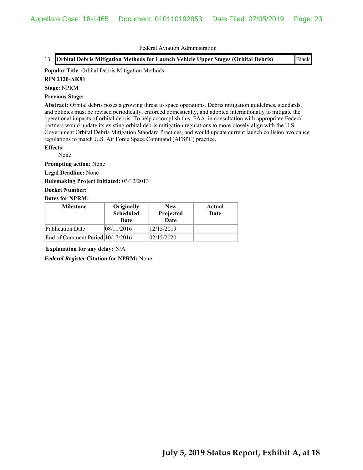13. **Orbital Debris Mitigation Methods for Launch Vehicle Upper Stages (Orbital Debris)** Black

#### **Popular Title**: Orbital Debris Mitigation Methods

#### **RIN 2120-AK81**

**Stage:** NPRM

#### **Previous Stage:**

**Abstract:** Orbital debris poses a growing threat to space operations. Debris mitigation guidelines, standards, and policies must be revised periodically, enforced domestically, and adopted internationally to mitigate the operational impacts of orbital debris. To help accomplish this, FAA, in consultation with appropriate Federal partners would update its existing orbital debris mitigation regulations to more-closely align with the U.S. Government Orbital Debris Mitigation Standard Practices, and would update current launch collision avoidance regulations to match U.S. Air Force Space Command (AFSPC) practice.

## **Effects:**

None

**Prompting action:** None

**Legal Deadline:** None

**Rulemaking Project Initiated:** 03/12/2013

**Docket Number:**

#### **Dates for NPRM:**

| <b>Milestone</b>                 | Originally<br><b>Scheduled</b><br>Date | <b>New</b><br>Projected<br>Date | Actual<br>Date |
|----------------------------------|----------------------------------------|---------------------------------|----------------|
| <b>Publication Date</b>          | 08/11/2016                             | 12/15/2019                      |                |
| End of Comment Period 10/17/2016 |                                        | 02/15/2020                      |                |

**Explanation for any delay:** N/A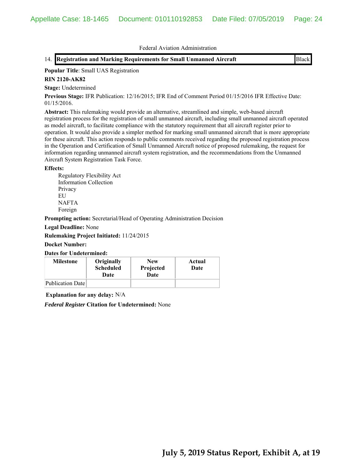## **Popular Title**: Small UAS Registration

## **RIN 2120-AK82**

**Stage:** Undetermined

**Previous Stage:** IFR Publication: 12/16/2015; IFR End of Comment Period 01/15/2016 IFR Effective Date: 01/15/2016.

**Abstract:** This rulemaking would provide an alternative, streamlined and simple, web-based aircraft registration process for the registration of small unmanned aircraft, including small unmanned aircraft operated as model aircraft, to facilitate compliance with the statutory requirement that all aircraft register prior to operation. It would also provide a simpler method for marking small unmanned aircraft that is more appropriate for these aircraft. This action responds to public comments received regarding the proposed registration process in the Operation and Certification of Small Unmanned Aircraft notice of proposed rulemaking, the request for information regarding unmanned aircraft system registration, and the recommendations from the Unmanned Aircraft System Registration Task Force.

#### **Effects:**

Regulatory Flexibility Act Information Collection Privacy EU **NAFTA** Foreign

**Prompting action:** Secretarial/Head of Operating Administration Decision

**Legal Deadline:** None

**Rulemaking Project Initiated:** 11/24/2015

#### **Docket Number:**

**Dates for Undetermined:**

| <b>Milestone</b> | Originally<br><b>Scheduled</b><br>Date | <b>New</b><br>Projected<br>Date | Actual<br>Date |
|------------------|----------------------------------------|---------------------------------|----------------|
| Publication Date |                                        |                                 |                |

**Explanation for any delay:** N/A

*Federal Register* **Citation for Undetermined:** None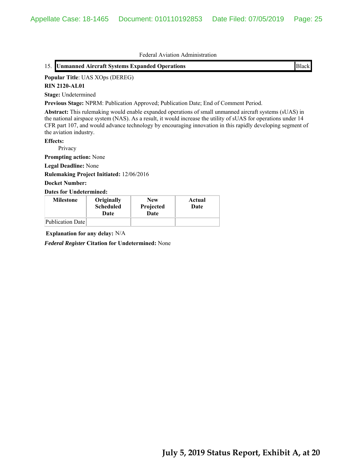## 15. **Unmanned Aircraft Systems Expanded Operations** Black

#### **Popular Title**: UAS XOps (DEREG)

#### **RIN 2120-AL01**

**Stage:** Undetermined

**Previous Stage:** NPRM: Publication Approved; Publication Date; End of Comment Period.

**Abstract:** This rulemaking would enable expanded operations of small unmanned aircraft systems (sUAS) in the national airspace system (NAS). As a result, it would increase the utility of sUAS for operations under 14 CFR part 107, and would advance technology by encouraging innovation in this rapidly developing segment of the aviation industry.

#### **Effects:**

Privacy

**Prompting action:** None

**Legal Deadline:** None

**Rulemaking Project Initiated:** 12/06/2016

#### **Docket Number:**

#### **Dates for Undetermined:**

| <b>Milestone</b> | Originally<br><b>Scheduled</b><br>Date | <b>New</b><br>Projected<br>Date | Actual<br>Date |
|------------------|----------------------------------------|---------------------------------|----------------|
| Publication Date |                                        |                                 |                |

**Explanation for any delay:** N/A

*Federal Register* **Citation for Undetermined:** None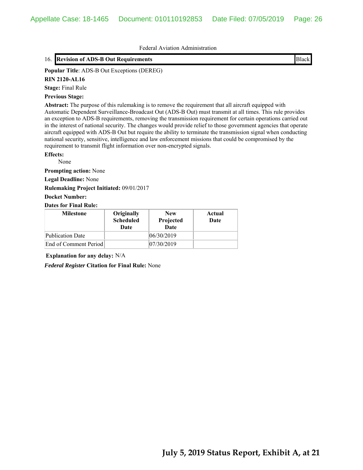## 16. **Revision of ADS-B Out Requirements** Black

#### **Popular Title**: ADS-B Out Exceptions (DEREG)

#### **RIN 2120-AL16**

**Stage:** Final Rule

#### **Previous Stage:**

**Abstract:** The purpose of this rulemaking is to remove the requirement that all aircraft equipped with Automatic Dependent Surveillance-Broadcast Out (ADS-B Out) must transmit at all times. This rule provides an exception to ADS-B requirements, removing the transmission requirement for certain operations carried out in the interest of national security. The changes would provide relief to those government agencies that operate aircraft equipped with ADS-B Out but require the ability to terminate the transmission signal when conducting national security, sensitive, intelligence and law enforcement missions that could be compromised by the requirement to transmit flight information over non-encrypted signals.

#### **Effects:**

None

**Prompting action:** None

**Legal Deadline:** None

**Rulemaking Project Initiated:** 09/01/2017

**Docket Number:**

**Dates for Final Rule:**

| <b>Milestone</b>      | Originally<br><b>Scheduled</b><br>Date | <b>New</b><br>Projected<br>Date | Actual<br>Date |
|-----------------------|----------------------------------------|---------------------------------|----------------|
| Publication Date      |                                        | 06/30/2019                      |                |
| End of Comment Period |                                        | 07/30/2019                      |                |

**Explanation for any delay:** N/A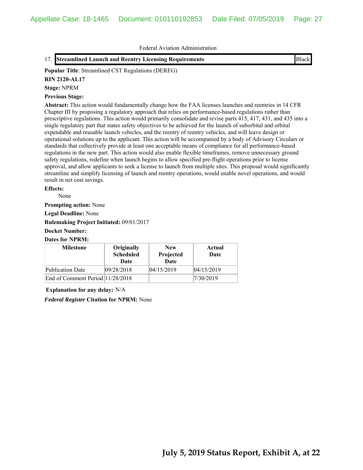17. **Streamlined Launch and Reentry Licensing Requirements Black** 

**Popular Title**: Streamlined CST Regulations (DEREG)

## **RIN 2120-AL17**

**Stage:** NPRM

## **Previous Stage:**

**Abstract:** This action would fundamentally change how the FAA licenses launches and reentries in 14 CFR Chapter III by proposing a regulatory approach that relies on performance-based regulations rather than prescriptive regulations. This action would primarily consolidate and revise parts 415, 417, 431, and 435 into a single regulatory part that states safety objectives to be achieved for the launch of suborbital and orbital expendable and reusable launch vehicles, and the reentry of reentry vehicles, and will leave design or operational solutions up to the applicant. This action will be accompanied by a body of Advisory Circulars or standards that collectively provide at least one acceptable means of compliance for all performance-based regulations in the new part. This action would also enable flexible timeframes, remove unnecessary ground safety regulations, redefine when launch begins to allow specified pre-flight operations prior to license approval, and allow applicants to seek a license to launch from multiple sites. This proposal would significantly streamline and simplify licensing of launch and reentry operations, would enable novel operations, and would result in net cost savings.

#### **Effects:**

None

**Prompting action:** None

**Legal Deadline:** None

**Rulemaking Project Initiated:** 09/01/2017

#### **Docket Number:**

#### **Dates for NPRM:**

| <b>Milestone</b>                 | Originally<br><b>Scheduled</b><br>Date | <b>New</b><br>Projected<br><b>Date</b> | Actual<br>Date |
|----------------------------------|----------------------------------------|----------------------------------------|----------------|
| Publication Date                 | 09/28/2018                             | 04/15/2019                             | 04/15/2019     |
| End of Comment Period 11/28/2018 |                                        |                                        | 7/30/2019      |

**Explanation for any delay:** N/A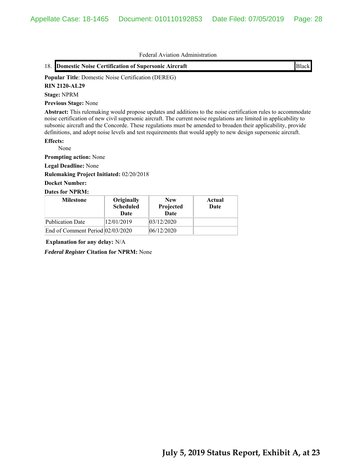|  | 18. Domestic Noise Certification of Supersonic Aircraft | <b>Black</b> |
|--|---------------------------------------------------------|--------------|
|--|---------------------------------------------------------|--------------|

**Popular Title**: Domestic Noise Certification (DEREG)

#### **RIN 2120-AL29**

**Stage:** NPRM

**Previous Stage:** None

**Abstract:** This rulemaking would propose updates and additions to the noise certification rules to accommodate noise certification of new civil supersonic aircraft. The current noise regulations are limited in applicability to subsonic aircraft and the Concorde. These regulations must be amended to broaden their applicability, provide definitions, and adopt noise levels and test requirements that would apply to new design supersonic aircraft.

#### **Effects:**

None

**Prompting action:** None

**Legal Deadline:** None

**Rulemaking Project Initiated:** 02/20/2018

## **Docket Number:**

## **Dates for NPRM:**

| <b>Milestone</b>                 | Originally<br><b>Scheduled</b><br>Date | <b>New</b><br>Projected<br><b>Date</b> | Actual<br>Date |
|----------------------------------|----------------------------------------|----------------------------------------|----------------|
| Publication Date                 | 12/01/2019                             | 03/12/2020                             |                |
| End of Comment Period 02/03/2020 |                                        | 06/12/2020                             |                |

**Explanation for any delay:** N/A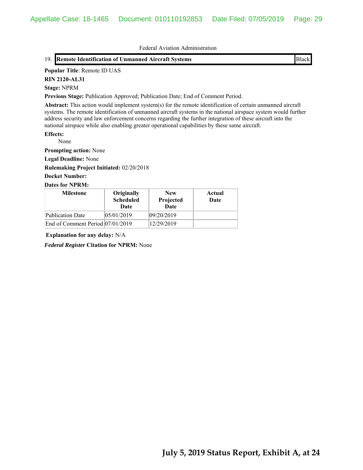## 19. **Remote Identification of Unmanned Aircraft Systems** Black

### **Popular Title**: Remote ID UAS

**RIN 2120-AL31**

#### **Stage:** NPRM

**Previous Stage:** Publication Approved; Publication Date; End of Comment Period.

**Abstract:** This action would implement system(s) for the remote identification of certain unmanned aircraft systems. The remote identification of unmanned aircraft systems in the national airspace system would further address security and law enforcement concerns regarding the further integration of these aircraft into the national airspace while also enabling greater operational capabilities by these same aircraft.

#### **Effects:**

None

**Prompting action:** None

**Legal Deadline:** None

**Rulemaking Project Initiated:** 02/20/2018

## **Docket Number:**

#### **Dates for NPRM:**

| <b>Milestone</b>                 | Originally<br><b>Scheduled</b><br>Date | <b>New</b><br>Projected<br>Date | Actual<br>Date |
|----------------------------------|----------------------------------------|---------------------------------|----------------|
| Publication Date                 | 05/01/2019                             | 09/20/2019                      |                |
| End of Comment Period 07/01/2019 |                                        | 12/29/2019                      |                |

**Explanation for any delay:** N/A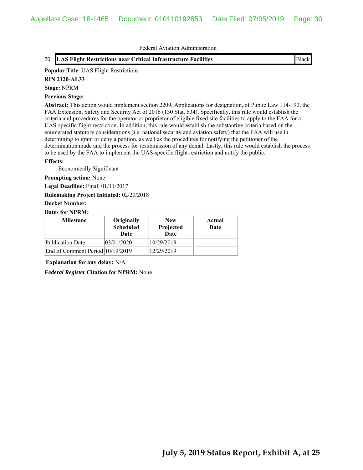## 20. **UAS Flight Restrictions near Critical Infrastructure Facilities** Black

#### **Popular Title**: UAS Flight Restrictions

#### **RIN 2120-AL33**

**Stage:** NPRM

## **Previous Stage:**

**Abstract:** This action would implement section 2209, Applications for designation, of Public Law 114-190, the FAA Extension, Safety and Security Act of 2016 (130 Stat. 634). Specifically, this rule would establish the criteria and procedures for the operator or proprietor of eligible fixed site facilities to apply to the FAA for a UAS-specific flight restriction. In addition, this rule would establish the substantive criteria based on the enumerated statutory considerations (i.e. national security and aviation safety) that the FAA will use in determining to grant or deny a petition, as well as the procedures for notifying the petitioner of the determination made and the process for resubmission of any denial. Lastly, this rule would establish the process to be used by the FAA to implement the UAS-specific flight restriction and notify the public.

#### **Effects:**

Economically Significant

**Prompting action:** None

**Legal Deadline:** Final: 01/11/2017

**Rulemaking Project Initiated:** 02/20/2018

## **Docket Number:**

## **Dates for NPRM:**

| <b>Milestone</b>                 | Originally<br><b>Scheduled</b><br>Date | <b>New</b><br>Projected<br>Date | Actual<br>Date |
|----------------------------------|----------------------------------------|---------------------------------|----------------|
| Publication Date                 | 03/01/2020                             | 10/29/2019                      |                |
| End of Comment Period 10/19/2019 |                                        | 12/29/2019                      |                |

**Explanation for any delay:** N/A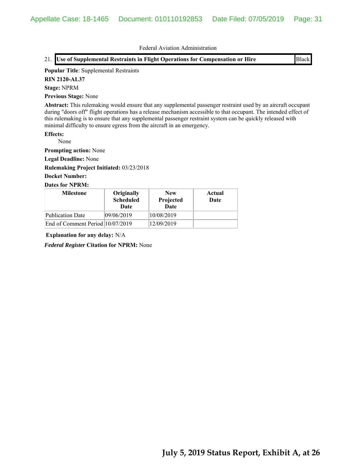21. **Use of Supplemental Restraints in Flight Operations for Compensation or Hire** Black

#### **Popular Title**: Supplemental Restraints

**RIN 2120-AL37**

## **Stage:** NPRM

**Previous Stage:** None

**Abstract:** This rulemaking would ensure that any supplemental passenger restraint used by an aircraft occupant during "doors off" flight operations has a release mechanism accessible to that occupant. The intended effect of this rulemaking is to ensure that any supplemental passenger restraint system can be quickly released with minimal difficulty to ensure egress from the aircraft in an emergency.

## **Effects:**

None

**Prompting action:** None

**Legal Deadline:** None

**Rulemaking Project Initiated:** 03/23/2018

## **Docket Number:**

## **Dates for NPRM:**

| <b>Milestone</b>                 | Originally<br><b>Scheduled</b><br>Date | <b>New</b><br>Projected<br><b>Date</b> | Actual<br>Date |
|----------------------------------|----------------------------------------|----------------------------------------|----------------|
| Publication Date                 | 09/06/2019                             | 10/08/2019                             |                |
| End of Comment Period 10/07/2019 |                                        | 12/09/2019                             |                |

**Explanation for any delay:** N/A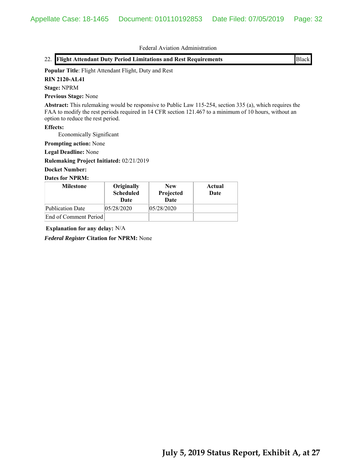| <b>Flight Attendant Duty Period Limitations and Rest Requirements</b><br>22.                                                                                                                                                                            |                                        |                                 |                | <b>Black</b> |
|---------------------------------------------------------------------------------------------------------------------------------------------------------------------------------------------------------------------------------------------------------|----------------------------------------|---------------------------------|----------------|--------------|
| Popular Title: Flight Attendant Flight, Duty and Rest                                                                                                                                                                                                   |                                        |                                 |                |              |
| <b>RIN 2120-AL41</b>                                                                                                                                                                                                                                    |                                        |                                 |                |              |
| <b>Stage: NPRM</b>                                                                                                                                                                                                                                      |                                        |                                 |                |              |
| <b>Previous Stage: None</b>                                                                                                                                                                                                                             |                                        |                                 |                |              |
| Abstract: This rulemaking would be responsive to Public Law 115-254, section 335 (a), which requires the<br>FAA to modify the rest periods required in 14 CFR section 121.467 to a minimum of 10 hours, without an<br>option to reduce the rest period. |                                        |                                 |                |              |
| <b>Effects:</b><br>Economically Significant                                                                                                                                                                                                             |                                        |                                 |                |              |
| <b>Prompting action:</b> None                                                                                                                                                                                                                           |                                        |                                 |                |              |
| <b>Legal Deadline: None</b>                                                                                                                                                                                                                             |                                        |                                 |                |              |
| Rulemaking Project Initiated: 02/21/2019                                                                                                                                                                                                                |                                        |                                 |                |              |
| <b>Docket Number:</b>                                                                                                                                                                                                                                   |                                        |                                 |                |              |
| <b>Dates for NPRM:</b>                                                                                                                                                                                                                                  |                                        |                                 |                |              |
| <b>Milestone</b>                                                                                                                                                                                                                                        | Originally<br><b>Scheduled</b><br>Date | <b>New</b><br>Projected<br>Date | Actual<br>Date |              |
| <b>Publication Date</b>                                                                                                                                                                                                                                 | 05/28/2020                             | 05/28/2020                      |                |              |
| End of Comment Period                                                                                                                                                                                                                                   |                                        |                                 |                |              |

**Explanation for any delay:** N/A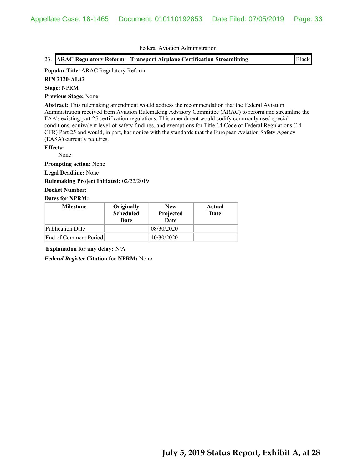23. **ARAC Regulatory Reform – Transport Airplane Certification Streamlining** Black

#### **Popular Title**: ARAC Regulatory Reform

**RIN 2120-AL42**

## **Stage:** NPRM

**Previous Stage:** None

**Abstract:** This rulemaking amendment would address the recommendation that the Federal Aviation Administration received from Aviation Rulemaking Advisory Committee (ARAC) to reform and streamline the FAA's existing part 25 certification regulations. This amendment would codify commonly used special conditions, equivalent level-of-safety findings, and exemptions for Title 14 Code of Federal Regulations (14 CFR) Part 25 and would, in part, harmonize with the standards that the European Aviation Safety Agency (EASA) currently requires.

## **Effects:**

None

**Prompting action:** None

**Legal Deadline:** None

**Rulemaking Project Initiated:** 02/22/2019

#### **Docket Number:**

#### **Dates for NPRM:**

| <b>Milestone</b>      | Originally<br><b>Scheduled</b><br>Date | <b>New</b><br>Projected<br><b>Date</b> | Actual<br>Date |
|-----------------------|----------------------------------------|----------------------------------------|----------------|
| Publication Date      |                                        | 08/30/2020                             |                |
| End of Comment Period |                                        | 10/30/2020                             |                |

**Explanation for any delay:** N/A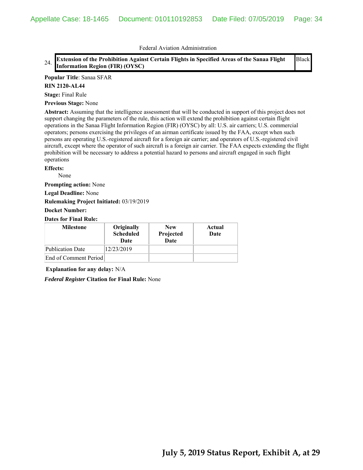#### 24. **Extension of the Prohibition Against Certain Flights in Specified Areas of the Sanaa Flight Information Region (FIR) (OYSC)** Black

#### **Popular Title**: Sanaa SFAR

#### **RIN 2120-AL44**

**Stage:** Final Rule

**Previous Stage:** None

**Abstract:** Assuming that the intelligence assessment that will be conducted in support of this project does not support changing the parameters of the rule, this action will extend the prohibition against certain flight operations in the Sanaa Flight Information Region (FIR) (OYSC) by all: U.S. air carriers; U.S. commercial operators; persons exercising the privileges of an airman certificate issued by the FAA, except when such persons are operating U.S.-registered aircraft for a foreign air carrier; and operators of U.S.-registered civil aircraft, except where the operator of such aircraft is a foreign air carrier. The FAA expects extending the flight prohibition will be necessary to address a potential hazard to persons and aircraft engaged in such flight operations

#### **Effects:**

None

**Prompting action:** None

**Legal Deadline:** None

**Rulemaking Project Initiated:** 03/19/2019

#### **Docket Number:**

## **Dates for Final Rule:**

| <b>Milestone</b>      | Originally<br><b>Scheduled</b><br>Date | <b>New</b><br>Projected<br>Date | Actual<br>Date |
|-----------------------|----------------------------------------|---------------------------------|----------------|
| Publication Date      | 12/23/2019                             |                                 |                |
| End of Comment Period |                                        |                                 |                |

**Explanation for any delay:** N/A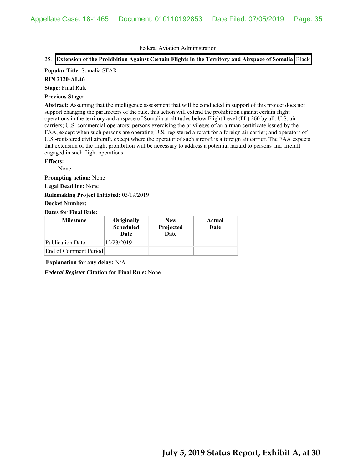## 25. **Extension of the Prohibition Against Certain Flights in the Territory and Airspace of Somalia** Black

#### **Popular Title**: Somalia SFAR

#### **RIN 2120-AL46**

**Stage:** Final Rule

#### **Previous Stage:**

**Abstract:** Assuming that the intelligence assessment that will be conducted in support of this project does not support changing the parameters of the rule, this action will extend the prohibition against certain flight operations in the territory and airspace of Somalia at altitudes below Flight Level (FL) 260 by all: U.S. air carriers; U.S. commercial operators; persons exercising the privileges of an airman certificate issued by the FAA, except when such persons are operating U.S.-registered aircraft for a foreign air carrier; and operators of U.S.-registered civil aircraft, except where the operator of such aircraft is a foreign air carrier. The FAA expects that extension of the flight prohibition will be necessary to address a potential hazard to persons and aircraft engaged in such flight operations.

#### **Effects:**

None

**Prompting action:** None

**Legal Deadline:** None

#### **Rulemaking Project Initiated:** 03/19/2019

#### **Docket Number:**

## **Dates for Final Rule:**

| <b>Milestone</b>        | Originally<br><b>Scheduled</b><br>Date | <b>New</b><br>Projected<br><b>Date</b> | Actual<br>Date |
|-------------------------|----------------------------------------|----------------------------------------|----------------|
| <b>Publication Date</b> | 12/23/2019                             |                                        |                |
| End of Comment Period   |                                        |                                        |                |

## **Explanation for any delay:** N/A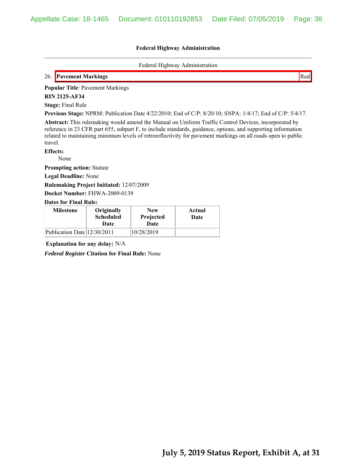#### **Federal Highway Administration**

Federal Highway Administration

## 26. **Pavement Markings** Red

**Popular Title**: Pavement Markings

**RIN 2125-AF34**

**Stage:** Final Rule

**Previous Stage:** NPRM: Publication Date 4/22/2010; End of C/P: 8/20/10; SNPA: 1/4/17; End of C/P: 5/4/17.

**Abstract:** This rulemaking would amend the Manual on Uniform Traffic Control Devices, incorporated by reference in 23 CFR part 655, subpart F, to include standards, guidance, options, and supporting information related to maintaining minimum levels of retroreflectivity for pavement markings on all roads open to public travel.

**Effects:**

None

**Prompting action:** Statute

**Legal Deadline:** None

**Rulemaking Project Initiated:** 12/07/2009

**Docket Number:** FHWA-2009-0139

**Dates for Final Rule:**

| <b>Milestone</b>            | Originally<br><b>Scheduled</b><br>Date | <b>New</b><br>Projected<br>Date | Actual<br>Date |
|-----------------------------|----------------------------------------|---------------------------------|----------------|
| Publication Date 12/30/2011 |                                        | 10/28/2019                      |                |

**Explanation for any delay:** N/A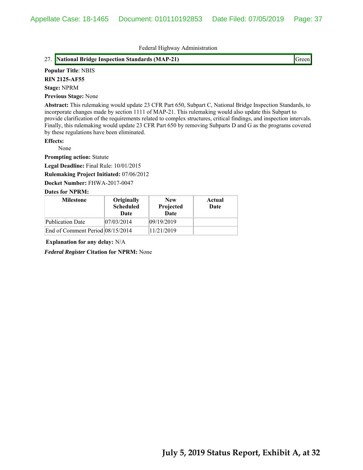Federal Highway Administration

### 27. **National Bridge Inspection Standards (MAP-21)** Green

### **Popular Title**: NBIS

**RIN 2125-AF55**

#### **Stage:** NPRM

**Previous Stage:** None

**Abstract:** This rulemaking would update 23 CFR Part 650, Subpart C, National Bridge Inspection Standards, to incorporate changes made by section 1111 of MAP-21. This rulemaking would also update this Subpart to provide clarification of the requirements related to complex structures, critical findings, and inspection intervals. Finally, this rulemaking would update 23 CFR Part 650 by removing Subparts D and G as the programs covered by these regulations have been eliminated.

### **Effects:**

None

**Prompting action:** Statute

**Legal Deadline:** Final Rule: 10/01/2015

**Rulemaking Project Initiated:** 07/06/2012

**Docket Number:** FHWA-2017-0047

#### **Dates for NPRM:**

| <b>Milestone</b>                 | Originally<br><b>Scheduled</b><br>Date | <b>New</b><br>Projected<br>Date | Actual<br>Date |
|----------------------------------|----------------------------------------|---------------------------------|----------------|
| Publication Date                 | 07/03/2014                             | 09/19/2019                      |                |
| End of Comment Period 08/15/2014 |                                        | 11/21/2019                      |                |

**Explanation for any delay:** N/A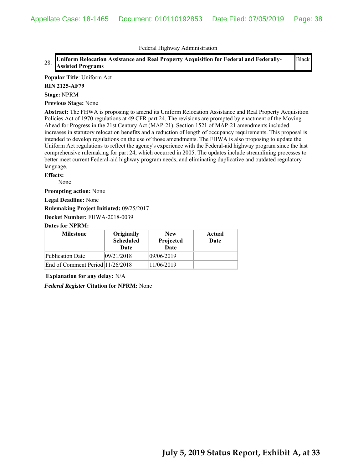Federal Highway Administration

#### 28. **Uniform Relocation Assistance and Real Property Acquisition for Federal and Federally-<br>
<sub>28</sub>. <b>United Property Assisted Programs** Black

### **Popular Title**: Uniform Act

#### **RIN 2125-AF79**

**Stage:** NPRM

**Previous Stage:** None

**Abstract:** The FHWA is proposing to amend its Uniform Relocation Assistance and Real Property Acquisition Policies Act of 1970 regulations at 49 CFR part 24. The revisions are prompted by enactment of the Moving Ahead for Progress in the 21st Century Act (MAP-21). Section 1521 of MAP-21 amendments included increases in statutory relocation benefits and a reduction of length of occupancy requirements. This proposal is intended to develop regulations on the use of those amendments. The FHWA is also proposing to update the Uniform Act regulations to reflect the agency's experience with the Federal-aid highway program since the last comprehensive rulemaking for part 24, which occurred in 2005. The updates include streamlining processes to better meet current Federal-aid highway program needs, and eliminating duplicative and outdated regulatory language.

### **Effects:**

None

**Prompting action:** None

**Legal Deadline:** None

**Rulemaking Project Initiated:** 09/25/2017

**Docket Number:** FHWA-2018-0039

### **Dates for NPRM:**

| <b>Milestone</b>                 | Originally<br><b>Scheduled</b><br>Date | <b>New</b><br>Projected<br><b>Date</b> | Actual<br>Date |
|----------------------------------|----------------------------------------|----------------------------------------|----------------|
| <b>Publication Date</b>          | 09/21/2018                             | 09/06/2019                             |                |
| End of Comment Period 11/26/2018 |                                        | 11/06/2019                             |                |

**Explanation for any delay:** N/A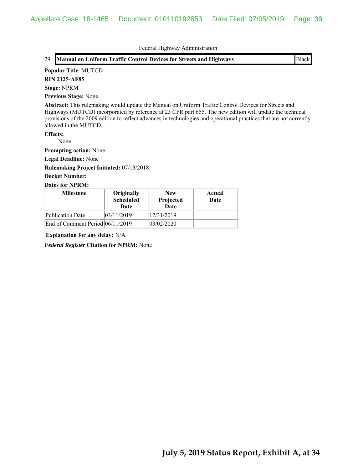Federal Highway Administration

|  |  | 29. Manual on Uniform Traffic Control Devices for Streets and Highways | <b>Black</b> |
|--|--|------------------------------------------------------------------------|--------------|
|--|--|------------------------------------------------------------------------|--------------|

### **Popular Title**: MUTCD

**RIN 2125-AF85**

### **Stage:** NPRM

**Previous Stage:** None

**Abstract:** This rulemaking would update the Manual on Uniform Traffic Control Devices for Streets and Highways (MUTCD) incorporated by reference at 23 CFR part 655. The new edition will update the technical provisions of the 2009 edition to reflect advances in technologies and operational practices that are not currently allowed in the MUTCD.

### **Effects:**

None

**Prompting action:** None

**Legal Deadline:** None

**Rulemaking Project Initiated:** 07/13/2018

# **Docket Number:**

### **Dates for NPRM:**

| <b>Milestone</b>                 | Originally<br><b>Scheduled</b><br>Date | <b>New</b><br>Projected<br>Date | Actual<br>Date |
|----------------------------------|----------------------------------------|---------------------------------|----------------|
| Publication Date                 | 03/11/2019                             | 12/31/2019                      |                |
| End of Comment Period 06/11/2019 |                                        | 03/02/2020                      |                |

**Explanation for any delay:** N/A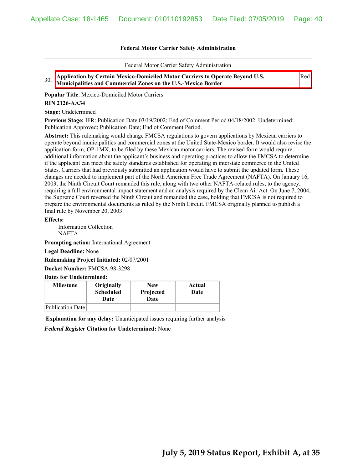Federal Motor Carrier Safety Administration

Red

30. **Application by Certain Mexico-Domiciled Motor Carriers to Operate Beyond U.S. Municipalities and Commercial Zones on the U.S.-Mexico Border**

**Popular Title**: Mexico-Domiciled Motor Carriers

### **RIN 2126-AA34**

**Stage:** Undetermined

**Previous Stage:** IFR: Publication Date 03/19/2002; End of Comment Period 04/18/2002. Undetermined: Publication Approved; Publication Date; End of Comment Period.

**Abstract:** This rulemaking would change FMCSA regulations to govern applications by Mexican carriers to operate beyond municipalities and commercial zones at the United State-Mexico border. It would also revise the application form, OP-1MX, to be filed by these Mexican motor carriers. The revised form would require additional information about the applicant´s business and operating practices to allow the FMCSA to determine if the applicant can meet the safety standards established for operating in interstate commerce in the United States. Carriers that had previously submitted an application would have to submit the updated form. These changes are needed to implement part of the North American Free Trade Agreement (NAFTA). On January 16, 2003, the Ninth Circuit Court remanded this rule, along with two other NAFTA-related rules, to the agency, requiring a full environmental impact statement and an analysis required by the Clean Air Act. On June 7, 2004, the Supreme Court reversed the Ninth Circuit and remanded the case, holding that FMCSA is not required to prepare the environmental documents as ruled by the Ninth Circuit. FMCSA originally planned to publish a final rule by November 20, 2003.

**Effects:**

 Information Collection NAFTA

**Prompting action:** International Agreement

**Legal Deadline:** None

**Rulemaking Project Initiated:** 02/07/2001

**Docket Number:** FMCSA-98-3298

**Dates for Undetermined:**

| <b>Milestone</b> | Originally<br><b>Scheduled</b><br>Date | <b>New</b><br>Projected<br>Date | Actual<br>Date |
|------------------|----------------------------------------|---------------------------------|----------------|
| Publication Date |                                        |                                 |                |

**Explanation for any delay:** Unanticipated issues requiring further analysis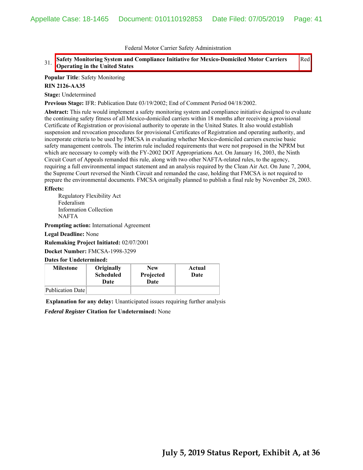Red

### 31. **Safety Monitoring System and Compliance Initiative for Mexico-Domiciled Motor Carriers Operating in the United States**

**Popular Title**: Safety Monitoring

### **RIN 2126-AA35**

**Stage:** Undetermined

**Previous Stage:** IFR: Publication Date 03/19/2002; End of Comment Period 04/18/2002.

**Abstract:** This rule would implement a safety monitoring system and compliance initiative designed to evaluate the continuing safety fitness of all Mexico-domiciled carriers within 18 months after receiving a provisional Certificate of Registration or provisional authority to operate in the United States. It also would establish suspension and revocation procedures for provisional Certificates of Registration and operating authority, and incorporate criteria to be used by FMCSA in evaluating whether Mexico-domiciled carriers exercise basic safety management controls. The interim rule included requirements that were not proposed in the NPRM but which are necessary to comply with the FY-2002 DOT Appropriations Act. On January 16, 2003, the Ninth Circuit Court of Appeals remanded this rule, along with two other NAFTA-related rules, to the agency, requiring a full environmental impact statement and an analysis required by the Clean Air Act. On June 7, 2004, the Supreme Court reversed the Ninth Circuit and remanded the case, holding that FMCSA is not required to prepare the environmental documents. FMCSA originally planned to publish a final rule by November 28, 2003.

#### **Effects:**

Regulatory Flexibility Act Federalism Information Collection NAFTA

**Prompting action:** International Agreement

**Legal Deadline:** None

**Rulemaking Project Initiated:** 02/07/2001

**Docket Number:** FMCSA-1998-3299

**Dates for Undetermined:**

| <b>Milestone</b> | Originally<br><b>Scheduled</b><br>Date | <b>New</b><br>Projected<br>Date | Actual<br>Date |
|------------------|----------------------------------------|---------------------------------|----------------|
| Publication Date |                                        |                                 |                |

**Explanation for any delay:** Unanticipated issues requiring further analysis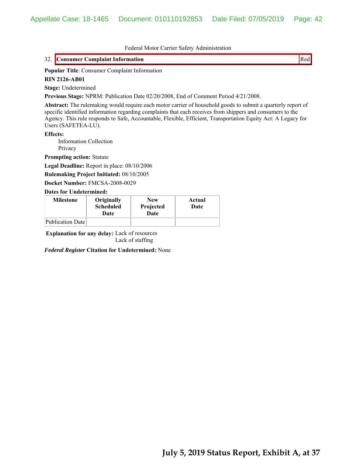## 32. Consumer Complaint Information **Red** Red

### **Popular Title**: Consumer Complaint Information

#### **RIN 2126-AB01**

**Stage:** Undetermined

**Previous Stage:** NPRM: Publication Date 02/20/2008, End of Comment Period 4/21/2008.

**Abstract:** The rulemaking would require each motor carrier of household goods to submit a quarterly report of specific identified information regarding complaints that each receives from shippers and consumers to the Agency. This rule responds to Safe, Accountable, Flexible, Efficient, Transportation Equity Act: A Legacy for Users (SAFETEA-LU).

**Effects:**

 Information Collection Privacy

**Prompting action:** Statute

**Legal Deadline:** Report in place: 08/10/2006

**Rulemaking Project Initiated:** 08/10/2005

**Docket Number:** FMCSA-2008-0029

#### **Dates for Undetermined:**

| <b>Milestone</b> | Originally<br><b>Scheduled</b><br>Date | <b>New</b><br>Projected<br>Date | Actual<br>Date |
|------------------|----------------------------------------|---------------------------------|----------------|
| Publication Date |                                        |                                 |                |

**Explanation for any delay:** Lack of resources Lack of staffing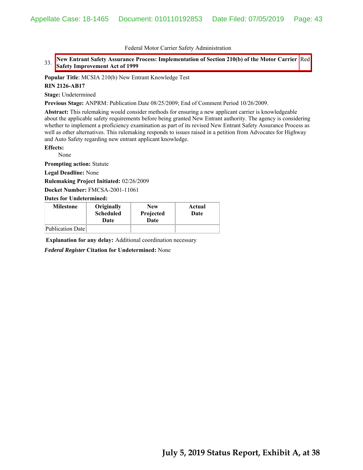### 33. New Entrant Safety Assurance Process: Implementation of Section 210(b) of the Motor Carrier Red **Safety Improvement Act of 1999**

**Popular Title**: MCSIA 210(b) New Entrant Knowledge Test

#### **RIN 2126-AB17**

**Stage:** Undetermined

**Previous Stage:** ANPRM: Publication Date 08/25/2009; End of Comment Period 10/26/2009.

**Abstract:** This rulemaking would consider methods for ensuring a new applicant carrier is knowledgeable about the applicable safety requirements before being granted New Entrant authority. The agency is considering whether to implement a proficiency examination as part of its revised New Entrant Safety Assurance Process as well as other alternatives. This rulemaking responds to issues raised in a petition from Advocates for Highway and Auto Safety regarding new entrant applicant knowledge.

**Effects:**

None

**Prompting action:** Statute

**Legal Deadline:** None

**Rulemaking Project Initiated:** 02/26/2009

**Docket Number:** FMCSA-2001-11061

**Dates for Undetermined:**

| <b>Milestone</b> | Originally<br><b>Scheduled</b><br>Date | <b>New</b><br>Projected<br>Date | Actual<br>Date |
|------------------|----------------------------------------|---------------------------------|----------------|
| Publication Date |                                        |                                 |                |

**Explanation for any delay:** Additional coordination necessary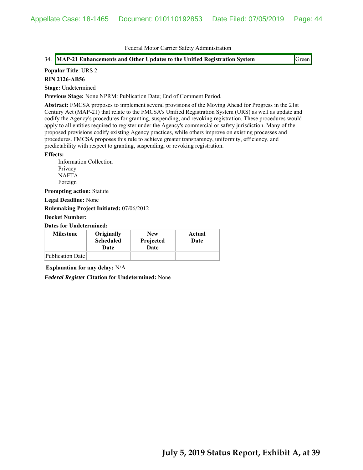### 34. MAP-21 Enhancements and Other Updates to the Unified Registration System Green

### **Popular Title**: URS 2

#### **RIN 2126-AB56**

**Stage:** Undetermined

**Previous Stage:** None NPRM: Publication Date; End of Comment Period.

**Abstract:** FMCSA proposes to implement several provisions of the Moving Ahead for Progress in the 21st Century Act (MAP-21) that relate to the FMCSA's Unified Registration System (URS) as well as update and codify the Agency's procedures for granting, suspending, and revoking registration. These procedures would apply to all entities required to register under the Agency's commercial or safety jurisdiction. Many of the proposed provisions codify existing Agency practices, while others improve on existing processes and procedures. FMCSA proposes this rule to achieve greater transparency, uniformity, efficiency, and predictability with respect to granting, suspending, or revoking registration.

#### **Effects:**

Information Collection Privacy NAFTA Foreign

**Prompting action:** Statute

**Legal Deadline:** None

**Rulemaking Project Initiated:** 07/06/2012

**Docket Number:**

**Dates for Undetermined:**

| <b>Milestone</b> | Originally<br><b>Scheduled</b><br>Date | <b>New</b><br>Projected<br>Date | Actual<br>Date |
|------------------|----------------------------------------|---------------------------------|----------------|
| Publication Date |                                        |                                 |                |

**Explanation for any delay:** N/A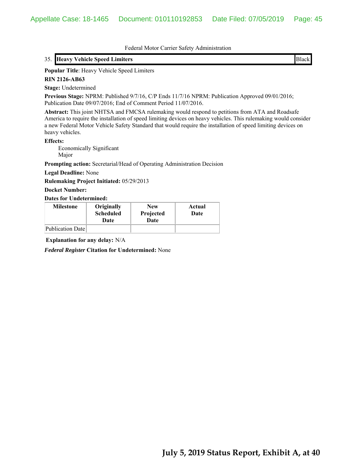### 35. **Heavy Vehicle Speed Limiters** Black

### **Popular Title**: Heavy Vehicle Speed Limiters

#### **RIN 2126-AB63**

**Stage:** Undetermined

**Previous Stage:** NPRM: Published 9/7/16, C/P Ends 11/7/16 NPRM: Publication Approved 09/01/2016; Publication Date 09/07/2016; End of Comment Period 11/07/2016.

**Abstract:** This joint NHTSA and FMCSA rulemaking would respond to petitions from ATA and Roadsafe America to require the installation of speed limiting devices on heavy vehicles. This rulemaking would consider a new Federal Motor Vehicle Safety Standard that would require the installation of speed limiting devices on heavy vehicles.

#### **Effects:**

 Economically Significant Major

**Prompting action:** Secretarial/Head of Operating Administration Decision

**Legal Deadline:** None

**Rulemaking Project Initiated:** 05/29/2013

#### **Docket Number:**

**Dates for Undetermined:**

| <b>Milestone</b> | Originally<br><b>Scheduled</b><br>Date | <b>New</b><br>Projected<br>Date | Actual<br>Date |
|------------------|----------------------------------------|---------------------------------|----------------|
| Publication Date |                                        |                                 |                |

**Explanation for any delay:** N/A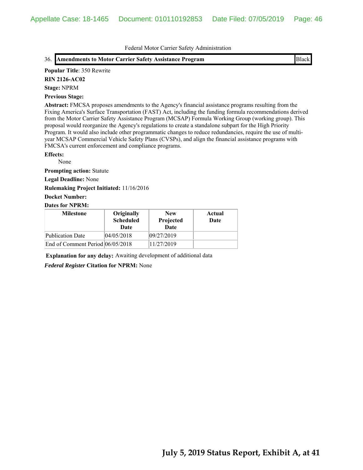### 36. **Amendments to Motor Carrier Safety Assistance Program** Black

#### **Popular Title**: 350 Rewrite

**RIN 2126-AC02**

**Stage:** NPRM

#### **Previous Stage:**

**Abstract:** FMCSA proposes amendments to the Agency's financial assistance programs resulting from the Fixing America's Surface Transportation (FAST) Act, including the funding formula recommendations derived from the Motor Carrier Safety Assistance Program (MCSAP) Formula Working Group (working group). This proposal would reorganize the Agency's regulations to create a standalone subpart for the High Priority Program. It would also include other programmatic changes to reduce redundancies, require the use of multiyear MCSAP Commercial Vehicle Safety Plans (CVSPs), and align the financial assistance programs with FMCSA's current enforcement and compliance programs.

#### **Effects:**

None

**Prompting action:** Statute

**Legal Deadline:** None

**Rulemaking Project Initiated:** 11/16/2016

### **Docket Number:**

### **Dates for NPRM:**

| <b>Milestone</b>                 | Originally<br><b>Scheduled</b><br>Date | <b>New</b><br>Projected<br><b>Date</b> | Actual<br>Date |
|----------------------------------|----------------------------------------|----------------------------------------|----------------|
| <b>Publication Date</b>          | 04/05/2018                             | 09/27/2019                             |                |
| End of Comment Period 06/05/2018 |                                        | 11/27/2019                             |                |

**Explanation for any delay:** Awaiting development of additional data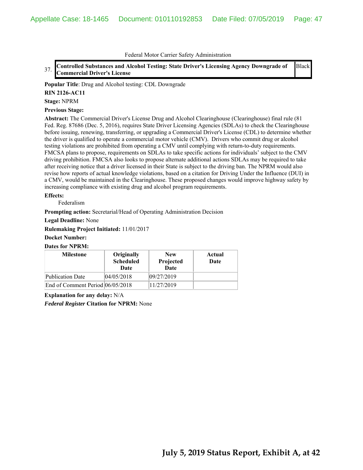37. **Controlled Substances and Alcohol Testing: State Driver's Licensing Agency Downgrade of Commercial Driver's License** Black

**Popular Title**: Drug and Alcohol testing: CDL Downgrade

### **RIN 2126-AC11**

**Stage:** NPRM

### **Previous Stage:**

**Abstract:** The Commercial Driver's License Drug and Alcohol Clearinghouse (Clearinghouse) final rule (81 Fed. Reg. 87686 (Dec. 5, 2016), requires State Driver Licensing Agencies (SDLAs) to check the Clearinghouse before issuing, renewing, transferring, or upgrading a Commercial Driver's License (CDL) to determine whether the driver is qualified to operate a commercial motor vehicle (CMV). Drivers who commit drug or alcohol testing violations are prohibited from operating a CMV until complying with return-to-duty requirements. FMCSA plans to propose, requirements on SDLAs to take specific actions for individuals' subject to the CMV driving prohibition. FMCSA also looks to propose alternate additional actions SDLAs may be required to take after receiving notice that a driver licensed in their State is subject to the driving ban. The NPRM would also revise how reports of actual knowledge violations, based on a citation for Driving Under the Influence (DUI) in a CMV, would be maintained in the Clearinghouse. These proposed changes would improve highway safety by increasing compliance with existing drug and alcohol program requirements.

### **Effects:**

Federalism

**Prompting action:** Secretarial/Head of Operating Administration Decision

**Legal Deadline:** None

**Rulemaking Project Initiated:** 11/01/2017

### **Docket Number:**

#### **Dates for NPRM:**

| <b>Milestone</b>                 | Originally<br><b>Scheduled</b><br>Date | <b>New</b><br>Projected<br>Date | Actual<br>Date |
|----------------------------------|----------------------------------------|---------------------------------|----------------|
| <b>Publication Date</b>          | 04/05/2018                             | 09/27/2019                      |                |
| End of Comment Period 06/05/2018 |                                        | 11/27/2019                      |                |

**Explanation for any delay:** N/A *Federal Register* **Citation for NPRM:** None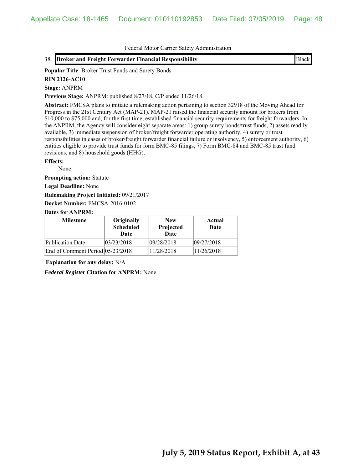### 38. **Broker and Freight Forwarder Financial Responsibility** Black

**Popular Title**: Broker Trust Funds and Surety Bonds

#### **RIN 2126-AC10**

**Stage:** ANPRM

**Previous Stage:** ANPRM: published 8/27/18, C/P ended 11/26/18.

**Abstract:** FMCSA plans to initiate a rulemaking action pertaining to section 32918 of the Moving Ahead for Progress in the 21st Century Act (MAP-21). MAP-21 raised the financial security amount for brokers from \$10,000 to \$75,000 and, for the first time, established financial security requirements for freight forwarders. In the ANPRM, the Agency will consider eight separate areas: 1) group surety bonds/trust funds, 2) assets readily available, 3) immediate suspension of broker/freight forwarder operating authority, 4) surety or trust responsibilities in cases of broker/freight forwarder financial failure or insolvency, 5) enforcement authority, 6) entities eligible to provide trust funds for form BMC-85 filings, 7) Form BMC-84 and BMC-85 trust fund revisions, and 8) household goods (HHG).

### **Effects:**

None

**Prompting action:** Statute

**Legal Deadline:** None

**Rulemaking Project Initiated:** 09/21/2017

**Docket Number:** FMCSA-2016-0102

### **Dates for ANPRM:**

| <b>Milestone</b>                 | Originally<br><b>Scheduled</b><br>Date | <b>New</b><br>Projected<br>Date | Actual<br>Date |
|----------------------------------|----------------------------------------|---------------------------------|----------------|
| <b>Publication Date</b>          | 03/23/2018                             | 09/28/2018                      | 09/27/2018     |
| End of Comment Period 05/23/2018 |                                        | 11/28/2018                      | 11/26/2018     |

**Explanation for any delay:** N/A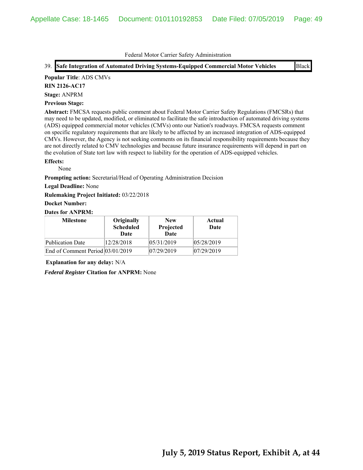39. **Safe Integration of Automated Driving Systems-Equipped Commercial Motor Vehicles** Black

### **Popular Title**: ADS CMVs

**RIN 2126-AC17**

**Stage:** ANPRM

### **Previous Stage:**

**Abstract:** FMCSA requests public comment about Federal Motor Carrier Safety Regulations (FMCSRs) that may need to be updated, modified, or eliminated to facilitate the safe introduction of automated driving systems (ADS) equipped commercial motor vehicles (CMVs) onto our Nation's roadways. FMCSA requests comment on specific regulatory requirements that are likely to be affected by an increased integration of ADS-equipped CMVs. However, the Agency is not seeking comments on its financial responsibility requirements because they are not directly related to CMV technologies and because future insurance requirements will depend in part on the evolution of State tort law with respect to liability for the operation of ADS-equipped vehicles.

### **Effects:**

None

**Prompting action:** Secretarial/Head of Operating Administration Decision

### **Legal Deadline:** None

**Rulemaking Project Initiated:** 03/22/2018

### **Docket Number:**

### **Dates for ANPRM:**

| <b>Milestone</b>                 | Originally<br><b>Scheduled</b><br>Date | <b>New</b><br>Projected<br><b>Date</b> | Actual<br>Date |
|----------------------------------|----------------------------------------|----------------------------------------|----------------|
| <b>Publication Date</b>          | 12/28/2018                             | 05/31/2019                             | 05/28/2019     |
| End of Comment Period 03/01/2019 |                                        | 07/29/2019                             | 07/29/2019     |

**Explanation for any delay:** N/A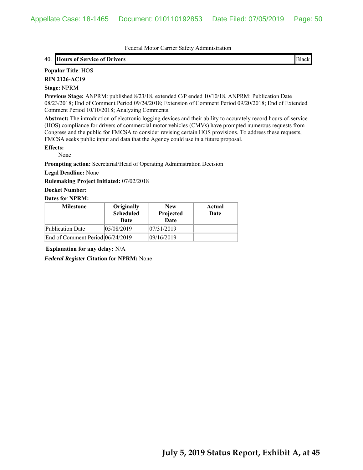### 40. **Hours of Service of Drivers** Black

# **Popular Title**: HOS

**RIN 2126-AC19**

### **Stage:** NPRM

**Previous Stage:** ANPRM: published 8/23/18, extended C/P ended 10/10/18. ANPRM: Publication Date 08/23/2018; End of Comment Period 09/24/2018; Extension of Comment Period 09/20/2018; End of Extended Comment Period 10/10/2018; Analyzing Comments.

**Abstract:** The introduction of electronic logging devices and their ability to accurately record hours-of-service (HOS) compliance for drivers of commercial motor vehicles (CMVs) have prompted numerous requests from Congress and the public for FMCSA to consider revising certain HOS provisions. To address these requests, FMCSA seeks public input and data that the Agency could use in a future proposal.

### **Effects:**

None

**Prompting action:** Secretarial/Head of Operating Administration Decision

**Legal Deadline:** None

**Rulemaking Project Initiated:** 07/02/2018

**Docket Number:**

### **Dates for NPRM:**

| <b>Milestone</b>                 | Originally<br><b>Scheduled</b><br>Date | <b>New</b><br>Projected<br><b>Date</b> | Actual<br>Date |
|----------------------------------|----------------------------------------|----------------------------------------|----------------|
| Publication Date                 | 05/08/2019                             | 07/31/2019                             |                |
| End of Comment Period 06/24/2019 |                                        | 09/16/2019                             |                |

**Explanation for any delay:** N/A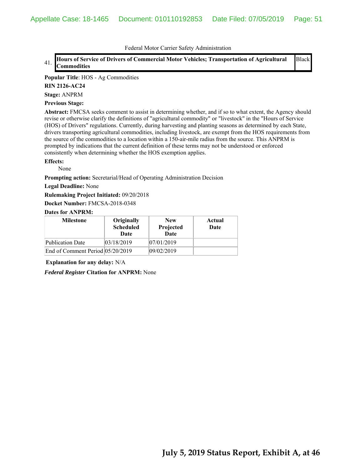#### 41. **Hours of Service of Drivers of Commercial Motor Vehicles; Transportation of Agricultural Commodities** Black

### **Popular Title**: HOS - Ag Commodities

**RIN 2126-AC24**

**Stage:** ANPRM

#### **Previous Stage:**

**Abstract:** FMCSA seeks comment to assist in determining whether, and if so to what extent, the Agency should revise or otherwise clarify the definitions of "agricultural commodity" or "livestock" in the "Hours of Service (HOS) of Drivers" regulations. Currently, during harvesting and planting seasons as determined by each State, drivers transporting agricultural commodities, including livestock, are exempt from the HOS requirements from the source of the commodities to a location within a 150-air-mile radius from the source. This ANPRM is prompted by indications that the current definition of these terms may not be understood or enforced consistently when determining whether the HOS exemption applies.

#### **Effects:**

None

**Prompting action:** Secretarial/Head of Operating Administration Decision

#### **Legal Deadline:** None

**Rulemaking Project Initiated:** 09/20/2018

**Docket Number:** FMCSA-2018-0348

#### **Dates for ANPRM:**

| <b>Milestone</b>                 | Originally<br><b>Scheduled</b><br>Date | <b>New</b><br>Projected<br><b>Date</b> | Actual<br>Date |
|----------------------------------|----------------------------------------|----------------------------------------|----------------|
| <b>Publication Date</b>          | 03/18/2019                             | 07/01/2019                             |                |
| End of Comment Period 05/20/2019 |                                        | 09/02/2019                             |                |

**Explanation for any delay:** N/A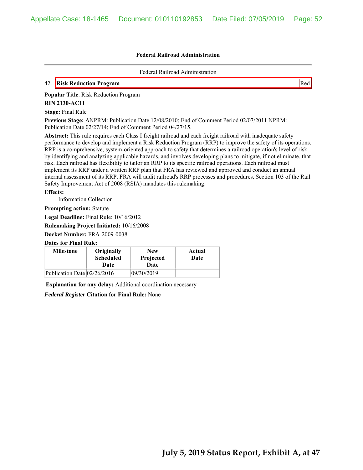Federal Railroad Administration

## 42. **Risk Reduction Program** Red

**Popular Title**: Risk Reduction Program

#### **RIN 2130-AC11**

**Stage:** Final Rule

**Previous Stage:** ANPRM: Publication Date 12/08/2010; End of Comment Period 02/07/2011 NPRM: Publication Date 02/27/14; End of Comment Period 04/27/15.

**Abstract:** This rule requires each Class I freight railroad and each freight railroad with inadequate safety performance to develop and implement a Risk Reduction Program (RRP) to improve the safety of its operations. RRP is a comprehensive, system-oriented approach to safety that determines a railroad operation's level of risk by identifying and analyzing applicable hazards, and involves developing plans to mitigate, if not eliminate, that risk. Each railroad has flexibility to tailor an RRP to its specific railroad operations. Each railroad must implement its RRP under a written RRP plan that FRA has reviewed and approved and conduct an annual internal assessment of its RRP. FRA will audit railroad's RRP processes and procedures. Section 103 of the Rail Safety Improvement Act of 2008 (RSIA) mandates this rulemaking.

### **Effects:**

Information Collection

**Prompting action:** Statute

**Legal Deadline:** Final Rule: 10/16/2012

**Rulemaking Project Initiated:** 10/16/2008

**Docket Number:** FRA-2009-0038

### **Dates for Final Rule:**

| <b>Milestone</b>            | Originally<br><b>Scheduled</b><br>Date | <b>New</b><br>Projected<br>Date | Actual<br>Date |
|-----------------------------|----------------------------------------|---------------------------------|----------------|
| Publication Date 02/26/2016 |                                        | 09/30/2019                      |                |

**Explanation for any delay:** Additional coordination necessary

*Federal Register* **Citation for Final Rule:** None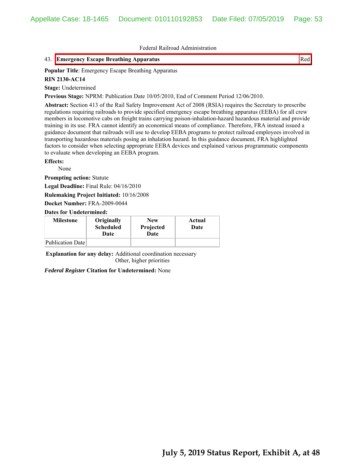## 43. **Emergency Escape Breathing Apparatus** Red

**Popular Title**: Emergency Escape Breathing Apparatus

#### **RIN 2130-AC14**

**Stage:** Undetermined

**Previous Stage:** NPRM: Publication Date 10/05/2010, End of Comment Period 12/06/2010.

**Abstract:** Section 413 of the Rail Safety Improvement Act of 2008 (RSIA) requires the Secretary to prescribe regulations requiring railroads to provide specified emergency escape breathing apparatus (EEBA) for all crew members in locomotive cabs on freight trains carrying poison-inhalation-hazard hazardous material and provide training in its use. FRA cannot identify an economical means of compliance. Therefore, FRA instead issued a guidance document that railroads will use to develop EEBA programs to protect railroad employees involved in transporting hazardous materials posing an inhalation hazard. In this guidance document, FRA highlighted factors to consider when selecting appropriate EEBA devices and explained various programmatic components to evaluate when developing an EEBA program.

### **Effects:**

None

**Prompting action:** Statute

**Legal Deadline:** Final Rule: 04/16/2010

**Rulemaking Project Initiated:** 10/16/2008

**Docket Number:** FRA-2009-0044

**Dates for Undetermined:**

| <b>Milestone</b> | Originally<br><b>Scheduled</b><br>Date | <b>New</b><br>Projected<br>Date | Actual<br>Date |
|------------------|----------------------------------------|---------------------------------|----------------|
| Publication Date |                                        |                                 |                |

**Explanation for any delay:** Additional coordination necessary Other, higher priorities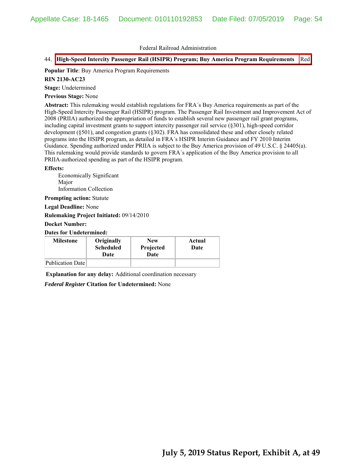### 44. **High-Speed Intercity Passenger Rail (HSIPR) Program; Buy America Program Requirements** Red

# **Popular Title**: Buy America Program Requirements

### **RIN 2130-AC23**

**Stage:** Undetermined

**Previous Stage:** None

**Abstract:** This rulemaking would establish regulations for FRA´s Buy America requirements as part of the High-Speed Intercity Passenger Rail (HSIPR) program. The Passenger Rail Investment and Improvement Act of 2008 (PRIIA) authorized the appropriation of funds to establish several new passenger rail grant programs, including capital investment grants to support intercity passenger rail service (§301), high-speed corridor development (§501), and congestion grants (§302). FRA has consolidated these and other closely related programs into the HSIPR program, as detailed in FRA´s HSIPR Interim Guidance and FY 2010 Interim Guidance. Spending authorized under PRIIA is subject to the Buy America provision of 49 U.S.C. § 24405(a). This rulemaking would provide standards to govern FRA´s application of the Buy America provision to all PRIIA-authorized spending as part of the HSIPR program.

#### **Effects:**

Economically Significant Major Information Collection

**Prompting action:** Statute

**Legal Deadline:** None

**Rulemaking Project Initiated:** 09/14/2010

### **Docket Number:**

### **Dates for Undetermined:**

| <b>Milestone</b> | Originally<br><b>Scheduled</b><br>Date | <b>New</b><br>Projected<br>Date | Actual<br>Date |
|------------------|----------------------------------------|---------------------------------|----------------|
| Publication Date |                                        |                                 |                |

**Explanation for any delay:** Additional coordination necessary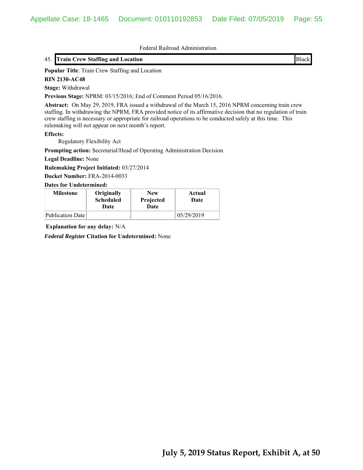### 45. **Train Crew Staffing and Location** Black

**Popular Title**: Train Crew Staffing and Location

**RIN 2130-AC48**

**Stage:** Withdrawal

**Previous Stage:** NPRM: 03/15/2016; End of Comment Period 05/16/2016.

**Abstract:** On May 29, 2019, FRA issued a withdrawal of the March 15, 2016 NPRM concerning train crew staffing. In withdrawing the NPRM, FRA provided notice of its affirmative decision that no regulation of train crew staffing is necessary or appropriate for railroad operations to be conducted safely at this time. This rulemaking will not appear on next month's report.

### **Effects:**

Regulatory Flexibility Act

**Prompting action:** Secretarial/Head of Operating Administration Decision

**Legal Deadline:** None

**Rulemaking Project Initiated:** 03/27/2014

**Docket Number:** FRA-2014-0033

#### **Dates for Undetermined:**

| <b>Milestone</b> | Originally<br><b>Scheduled</b><br>Date | <b>New</b><br>Projected<br>Date | Actual<br>Date |
|------------------|----------------------------------------|---------------------------------|----------------|
| Publication Date |                                        |                                 | 05/29/2019     |

**Explanation for any delay:** N/A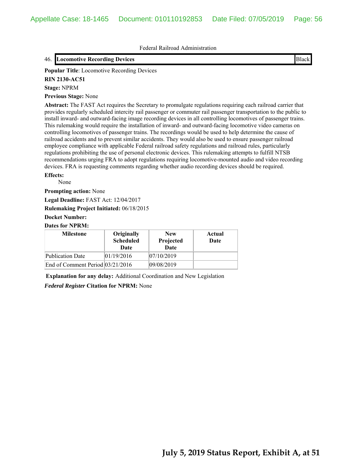### 46. **Locomotive Recording Devices** Black

**Popular Title**: Locomotive Recording Devices

**RIN 2130-AC51**

### **Stage:** NPRM

**Previous Stage:** None

**Abstract:** The FAST Act requires the Secretary to promulgate regulations requiring each railroad carrier that provides regularly scheduled intercity rail passenger or commuter rail passenger transportation to the public to install inward- and outward-facing image recording devices in all controlling locomotives of passenger trains. This rulemaking would require the installation of inward- and outward-facing locomotive video cameras on controlling locomotives of passenger trains. The recordings would be used to help determine the cause of railroad accidents and to prevent similar accidents. They would also be used to ensure passenger railroad employee compliance with applicable Federal railroad safety regulations and railroad rules, particularly regulations prohibiting the use of personal electronic devices. This rulemaking attempts to fulfill NTSB recommendations urging FRA to adopt regulations requiring locomotive-mounted audio and video recording devices. FRA is requesting comments regarding whether audio recording devices should be required.

**Effects:**

None

**Prompting action:** None

**Legal Deadline:** FAST Act: 12/04/2017

**Rulemaking Project Initiated:** 06/18/2015

### **Docket Number:**

#### **Dates for NPRM:**

| <b>Milestone</b>                     | Originally<br><b>Scheduled</b><br>Date | <b>New</b><br>Projected<br>Date | Actual<br>Date |
|--------------------------------------|----------------------------------------|---------------------------------|----------------|
| <b>Publication Date</b>              | 01/19/2016                             | 07/10/2019                      |                |
| End of Comment Period $ 03/21/2016 $ |                                        | 09/08/2019                      |                |

**Explanation for any delay:** Additional Coordination and New Legislation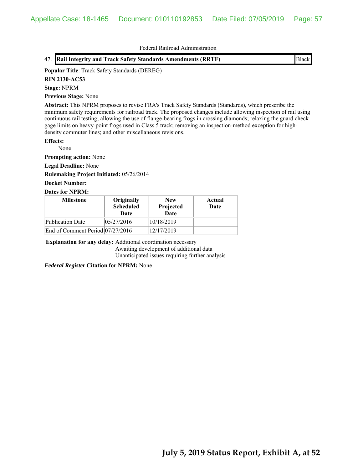## 47. **Rail Integrity and Track Safety Standards Amendments (RRTF)** Black

## **Popular Title**: Track Safety Standards (DEREG)

**RIN 2130-AC53**

### **Stage:** NPRM

**Previous Stage:** None

**Abstract:** This NPRM proposes to revise FRA's Track Safety Standards (Standards), which prescribe the minimum safety requirements for railroad track. The proposed changes include allowing inspection of rail using continuous rail testing; allowing the use of flange-bearing frogs in crossing diamonds; relaxing the guard check gage limits on heavy-point frogs used in Class 5 track; removing an inspection-method exception for highdensity commuter lines; and other miscellaneous revisions.

### **Effects:**

None

**Prompting action:** None

**Legal Deadline:** None

**Rulemaking Project Initiated:** 05/26/2014

### **Docket Number:**

## **Dates for NPRM:**

| <b>Milestone</b>                 | Originally<br><b>Scheduled</b><br>Date | <b>New</b><br>Projected<br>Date | Actual<br>Date |
|----------------------------------|----------------------------------------|---------------------------------|----------------|
| Publication Date                 | 05/27/2016                             | 10/18/2019                      |                |
| End of Comment Period 07/27/2016 |                                        | 12/17/2019                      |                |

**Explanation for any delay:** Additional coordination necessary

Awaiting development of additional data Unanticipated issues requiring further analysis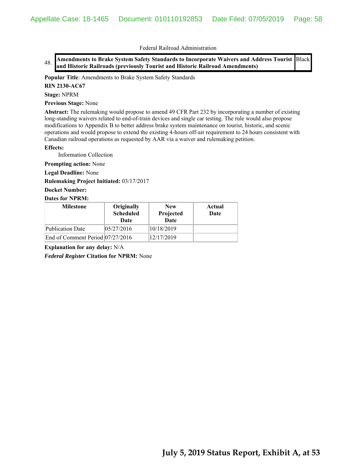48. **Amendments to Brake System Safety Standards to Incorporate Waivers and Address Tourist**  Black **and Historic Railroads (previously Tourist and Historic Railroad Amendments)**

**Popular Title**: Amendments to Brake System Safety Standards

**RIN 2130-AC67**

**Stage:** NPRM

**Previous Stage:** None

**Abstract:** The rulemaking would propose to amend 49 CFR Part 232 by incorporating a number of existing long-standing waivers related to end-of-train devices and single car testing. The rule would also propose modifications to Appendix B to better address brake system maintenance on tourist, historic, and scenic operations and would propose to extend the existing 4-hours off-air requirement to 24 hours consistent with Canadian railroad operations as requested by AAR via a waiver and rulemaking petition.

#### **Effects:**

Information Collection

**Prompting action:** None

**Legal Deadline:** None

**Rulemaking Project Initiated:** 03/17/2017

#### **Docket Number:**

#### **Dates for NPRM:**

| <b>Milestone</b>                 | Originally<br><b>Scheduled</b><br>Date | <b>New</b><br>Projected<br><b>Date</b> | Actual<br>Date |
|----------------------------------|----------------------------------------|----------------------------------------|----------------|
| Publication Date                 | 05/27/2016                             | 10/18/2019                             |                |
| End of Comment Period 07/27/2016 |                                        | 12/17/2019                             |                |

**Explanation for any delay:** N/A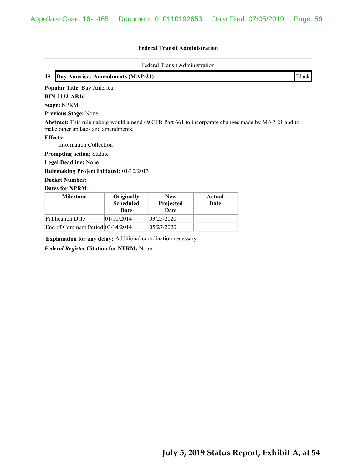### **Federal Transit Administration**

Federal Transit Administration

| 49. Buy America: Amendments (MAP-21) | <b>Black</b> |
|--------------------------------------|--------------|
|--------------------------------------|--------------|

**Popular Title**: Buy America

**RIN 2132-AB16**

**Stage:** NPRM

**Previous Stage:** None

**Abstract:** This rulemaking would amend 49 CFR Part 661 to incorporate changes made by MAP-21 and to make other updates and amendments.

**Effects:**

Information Collection

**Prompting action:** Statute

**Legal Deadline:** None

**Rulemaking Project Initiated:** 01/10/2013

**Docket Number:**

**Dates for NPRM:**

| <b>Milestone</b>                 | Originally<br><b>Scheduled</b><br>Date | <b>New</b><br>Projected<br><b>Date</b> | Actual<br>Date |
|----------------------------------|----------------------------------------|----------------------------------------|----------------|
| Publication Date                 | 01/10/2014                             | 03/25/2020                             |                |
| End of Comment Period 03/14/2014 |                                        | 05/27/2020                             |                |

**Explanation for any delay:** Additional coordination necessary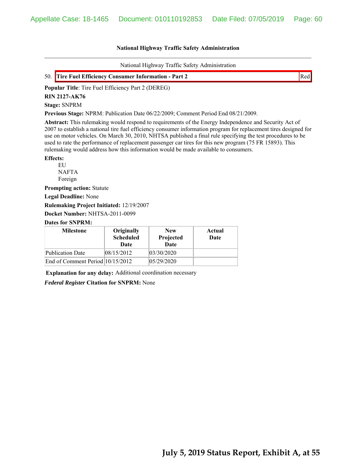National Highway Traffic Safety Administration

| 50. Tire Fuel Efficiency Consumer Information - Part 2 |  |
|--------------------------------------------------------|--|
|                                                        |  |

**Popular Title**: Tire Fuel Efficiency Part 2 (DEREG)

**RIN 2127-AK76**

**Stage:** SNPRM

**Previous Stage:** NPRM: Publication Date 06/22/2009; Comment Period End 08/21/2009.

**Abstract:** This rulemaking would respond to requirements of the Energy Independence and Security Act of 2007 to establish a national tire fuel efficiency consumer information program for replacement tires designed for use on motor vehicles. On March 30, 2010, NHTSA published a final rule specifying the test procedures to be used to rate the performance of replacement passenger car tires for this new program (75 FR 15893). This rulemaking would address how this information would be made available to consumers.

### **Effects:**

**EU** NAFTA Foreign

**Prompting action:** Statute

**Legal Deadline:** None

**Rulemaking Project Initiated:** 12/19/2007

**Docket Number:** NHTSA-2011-0099

### **Dates for SNPRM:**

| <b>Milestone</b>                 | Originally<br><b>Scheduled</b><br>Date | <b>New</b><br>Projected<br><b>Date</b> | Actual<br>Date |
|----------------------------------|----------------------------------------|----------------------------------------|----------------|
| Publication Date                 | 08/15/2012                             | 03/30/2020                             |                |
| End of Comment Period 10/15/2012 |                                        | 05/29/2020                             |                |

**Explanation for any delay:** Additional coordination necessary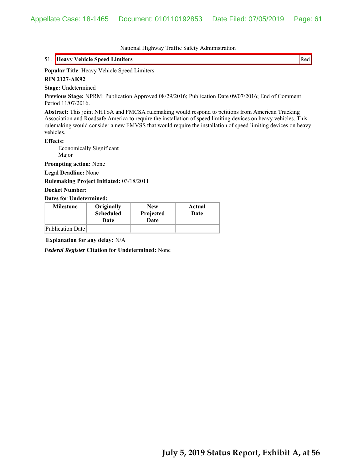# 51. **Heavy Vehicle Speed Limiters** Red

### **Popular Title**: Heavy Vehicle Speed Limiters

#### **RIN 2127-AK92**

**Stage:** Undetermined

**Previous Stage:** NPRM: Publication Approved 08/29/2016; Publication Date 09/07/2016; End of Comment Period 11/07/2016.

**Abstract:** This joint NHTSA and FMCSA rulemaking would respond to petitions from American Trucking Association and Roadsafe America to require the installation of speed limiting devices on heavy vehicles. This rulemaking would consider a new FMVSS that would require the installation of speed limiting devices on heavy vehicles.

#### **Effects:**

 Economically Significant Major

**Prompting action:** None

**Legal Deadline:** None

**Rulemaking Project Initiated:** 03/18/2011

#### **Docket Number:**

#### **Dates for Undetermined:**

| <b>Milestone</b> | Originally<br><b>Scheduled</b><br>Date | <b>New</b><br>Projected<br>Date | Actual<br>Date |
|------------------|----------------------------------------|---------------------------------|----------------|
| Publication Date |                                        |                                 |                |

**Explanation for any delay:** N/A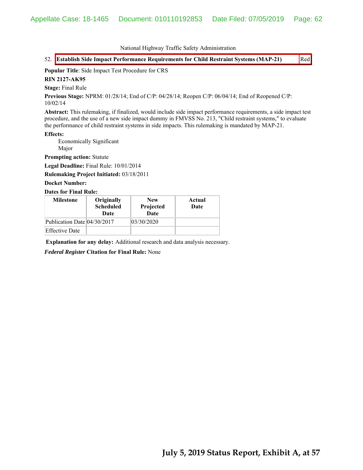52. **Establish Side Impact Performance Requirements for Child Restraint Systems (MAP-21)** Red

**Popular Title**: Side Impact Test Procedure for CRS

**RIN 2127-AK95**

**Stage:** Final Rule

**Previous Stage:** NPRM: 01/28/14; End of C/P: 04/28/14; Reopen C/P: 06/04/14; End of Reopened C/P: 10/02/14

**Abstract:** This rulemaking, if finalized, would include side impact performance requirements, a side impact test procedure, and the use of a new side impact dummy in FMVSS No. 213, "Child restraint systems," to evaluate the performance of child restraint systems in side impacts. This rulemaking is mandated by MAP-21.

#### **Effects:**

 Economically Significant Major

**Prompting action:** Statute

**Legal Deadline:** Final Rule: 10/01/2014

**Rulemaking Project Initiated:** 03/18/2011

### **Docket Number:**

#### **Dates for Final Rule:**

| <b>Milestone</b>            | Originally<br><b>Scheduled</b><br>Date | <b>New</b><br>Projected<br>Date | Actual<br>Date |
|-----------------------------|----------------------------------------|---------------------------------|----------------|
| Publication Date 04/30/2017 |                                        | 03/30/2020                      |                |
| <b>Effective Date</b>       |                                        |                                 |                |

**Explanation for any delay:** Additional research and data analysis necessary.

*Federal Register* **Citation for Final Rule:** None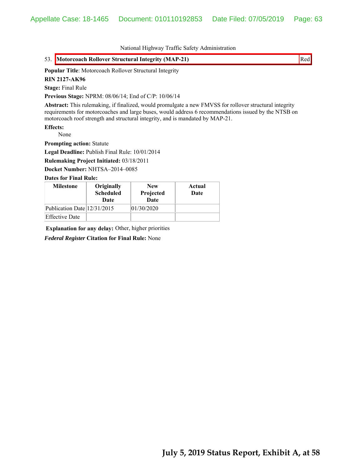# 53. **Motorcoach Rollover Structural Integrity (MAP-21)** Red

### **Popular Title**: Motorcoach Rollover Structural Integrity

**RIN 2127-AK96**

**Stage:** Final Rule

**Previous Stage:** NPRM: 08/06/14; End of C/P: 10/06/14

**Abstract:** This rulemaking, if finalized, would promulgate a new FMVSS for rollover structural integrity requirements for motorcoaches and large buses, would address 6 recommendations issued by the NTSB on motorcoach roof strength and structural integrity, and is mandated by MAP-21.

**Effects:**

 None **Prompting action:** Statute

**Legal Deadline:** Publish Final Rule: 10/01/2014

**Rulemaking Project Initiated:** 03/18/2011

**Docket Number:** NHTSA–2014–0085

**Dates for Final Rule:**

| <b>Milestone</b>            | Originally<br><b>Scheduled</b><br>Date | <b>New</b><br>Projected<br>Date | Actual<br>Date |
|-----------------------------|----------------------------------------|---------------------------------|----------------|
| Publication Date 12/31/2015 |                                        | 01/30/2020                      |                |
| <b>Effective Date</b>       |                                        |                                 |                |

**Explanation for any delay:** Other, higher priorities

*Federal Register* **Citation for Final Rule:** None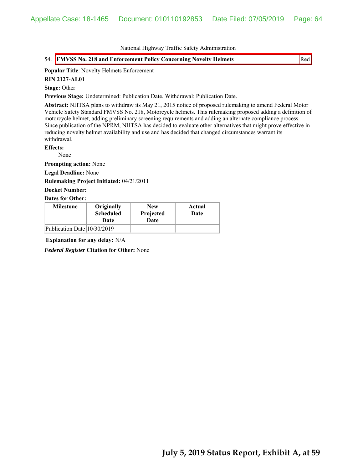# 54. **FMVSS No. 218 and Enforcement Policy Concerning Novelty Helmets** Red

# **Popular Title**: Novelty Helmets Enforcement

**RIN 2127-AL01**

### **Stage:** Other

**Previous Stage:** Undetermined: Publication Date. Withdrawal: Publication Date.

**Abstract:** NHTSA plans to withdraw its May 21, 2015 notice of proposed rulemaking to amend Federal Motor Vehicle Safety Standard FMVSS No. 218, Motorcycle helmets. This rulemaking proposed adding a definition of motorcycle helmet, adding preliminary screening requirements and adding an alternate compliance process. Since publication of the NPRM, NHTSA has decided to evaluate other alternatives that might prove effective in reducing novelty helmet availability and use and has decided that changed circumstances warrant its withdrawal.

**Effects:**

None

**Prompting action:** None

**Legal Deadline:** None

**Rulemaking Project Initiated:** 04/21/2011

**Docket Number:**

#### **Dates for Other:**

| <b>Milestone</b>            | Originally<br><b>Scheduled</b><br>Date | <b>New</b><br>Projected<br>Date | Actual<br>Date |
|-----------------------------|----------------------------------------|---------------------------------|----------------|
| Publication Date 10/30/2019 |                                        |                                 |                |

**Explanation for any delay:** N/A

*Federal Register* **Citation for Other:** None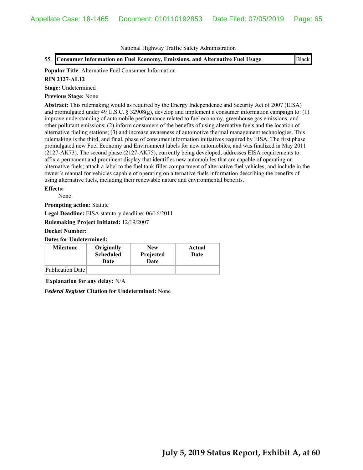55. **Consumer Information on Fuel Economy, Emissions, and Alternative Fuel Usage** Black

# **Popular Title**: Alternative Fuel Consumer Information

### **RIN 2127-AL12**

**Stage:** Undetermined

### **Previous Stage:** None

**Abstract:** This rulemaking would as required by the Energy Independence and Security Act of 2007 (EISA) and promulgated under 49 U.S.C. § 32908(g), develop and implement a consumer information campaign to: (1) improve understanding of automobile performance related to fuel economy, greenhouse gas emissions, and other pollutant emissions; (2) inform consumers of the benefits of using alternative fuels and the location of alternative fueling stations; (3) and increase awareness of automotive thermal management technologies. This rulemaking is the third, and final, phase of consumer information initiatives required by EISA. The first phase promulgated new Fuel Economy and Environment labels for new automobiles, and was finalized in May 2011 (2127-AK73). The second phase (2127-AK75), currently being developed, addresses EISA requirements to: affix a permanent and prominent display that identifies new automobiles that are capable of operating on alternative fuels; attach a label to the fuel tank filler compartment of alternative fuel vehicles; and include in the owner´s manual for vehicles capable of operating on alternative fuels information describing the benefits of using alternative fuels, including their renewable nature and environmental benefits.

### **Effects:**

None

**Prompting action:** Statute

**Legal Deadline:** EISA statutory deadline: 06/16/2011

**Rulemaking Project Initiated:** 12/19/2007

#### **Docket Number:**

**Dates for Undetermined:**

| <b>Milestone</b> | Originally<br><b>Scheduled</b><br>Date | <b>New</b><br>Projected<br><b>Date</b> | Actual<br>Date |
|------------------|----------------------------------------|----------------------------------------|----------------|
| Publication Date |                                        |                                        |                |

**Explanation for any delay:** N/A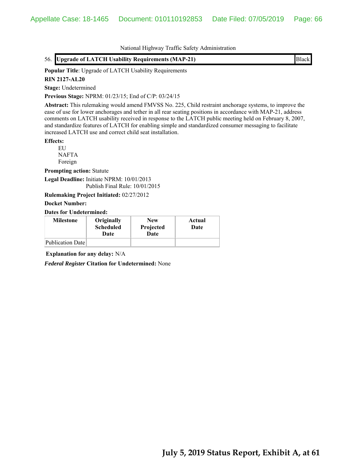|  | National Highway Traffic Safety Administration |  |
|--|------------------------------------------------|--|
|  |                                                |  |

| 56. Upgrade of LATCH Usability Requirements (MAP-21) | <b>Black</b> |
|------------------------------------------------------|--------------|
|------------------------------------------------------|--------------|

**Popular Title**: Upgrade of LATCH Usability Requirements

# **RIN 2127-AL20**

**Stage:** Undetermined

**Previous Stage:** NPRM: 01/23/15; End of C/P: 03/24/15

**Abstract:** This rulemaking would amend FMVSS No. 225, Child restraint anchorage systems, to improve the ease of use for lower anchorages and tether in all rear seating positions in accordance with MAP-21, address comments on LATCH usability received in response to the LATCH public meeting held on February 8, 2007, and standardize features of LATCH for enabling simple and standardized consumer messaging to facilitate increased LATCH use and correct child seat installation.

**Effects:**

EU NAFTA Foreign

**Prompting action:** Statute

**Legal Deadline:** Initiate NPRM: 10/01/2013 Publish Final Rule: 10/01/2015

**Rulemaking Project Initiated:** 02/27/2012

#### **Docket Number:**

**Dates for Undetermined:**

| <b>Milestone</b> | Originally<br><b>Scheduled</b><br>Date | <b>New</b><br>Projected<br>Date | Actual<br>Date |
|------------------|----------------------------------------|---------------------------------|----------------|
| Publication Date |                                        |                                 |                |

**Explanation for any delay:** N/A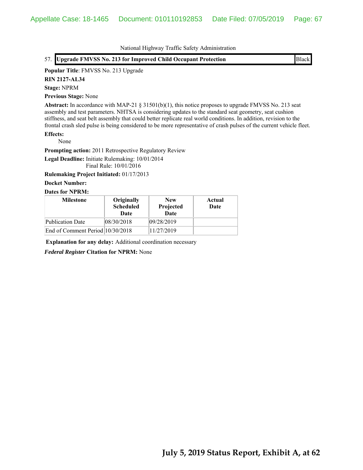### **Popular Title**: FMVSS No. 213 Upgrade

**RIN 2127-AL34**

### **Stage:** NPRM

**Previous Stage:** None

Abstract: In accordance with MAP-21 § 31501(b)(1), this notice proposes to upgrade FMVSS No. 213 seat assembly and test parameters. NHTSA is considering updates to the standard seat geometry, seat cushion stiffness, and seat belt assembly that could better replicate real world conditions. In addition, revision to the frontal crash sled pulse is being considered to be more representative of crash pulses of the current vehicle fleet.

### **Effects:**

None

**Prompting action:** 2011 Retrospective Regulatory Review

**Legal Deadline:** Initiate Rulemaking: 10/01/2014 Final Rule: 10/01/2016

**Rulemaking Project Initiated:** 01/17/2013

### **Docket Number:**

# **Dates for NPRM:**

| <b>Milestone</b>                 | Originally<br><b>Scheduled</b><br>Date | <b>New</b><br>Projected<br><b>Date</b> | Actual<br>Date |
|----------------------------------|----------------------------------------|----------------------------------------|----------------|
| Publication Date                 | 08/30/2018                             | 09/28/2019                             |                |
| End of Comment Period 10/30/2018 |                                        | 11/27/2019                             |                |

**Explanation for any delay:** Additional coordination necessary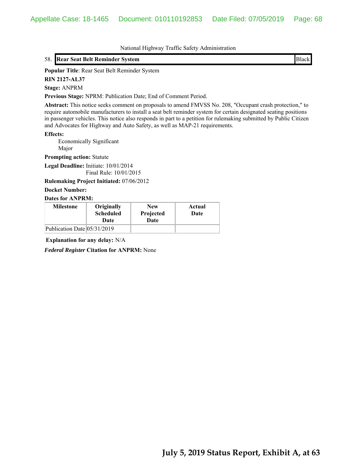### 58. **Rear Seat Belt Reminder System** Black

**Popular Title**: Rear Seat Belt Reminder System

**RIN 2127-AL37**

**Stage:** ANPRM

**Previous Stage:** NPRM: Publication Date; End of Comment Period.

**Abstract:** This notice seeks comment on proposals to amend FMVSS No. 208, "Occupant crash protection," to require automobile manufacturers to install a seat belt reminder system for certain designated seating positions in passenger vehicles. This notice also responds in part to a petition for rulemaking submitted by Public Citizen and Advocates for Highway and Auto Safety, as well as MAP-21 requirements.

**Effects:**

 Economically Significant Major

**Prompting action:** Statute

**Legal Deadline:** Initiate: 10/01/2014 Final Rule: 10/01/2015

**Rulemaking Project Initiated:** 07/06/2012

### **Docket Number:**

#### **Dates for ANPRM:**

| <b>Milestone</b>            | Originally<br><b>Scheduled</b><br>Date | <b>New</b><br>Projected<br>Date | Actual<br>Date |
|-----------------------------|----------------------------------------|---------------------------------|----------------|
| Publication Date 05/31/2019 |                                        |                                 |                |

**Explanation for any delay:** N/A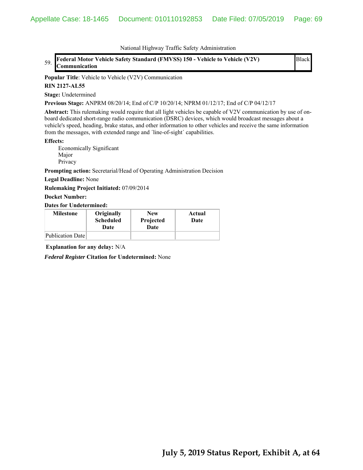59. **Federal Motor Vehicle Safety Standard (FMVSS) 150 - Vehicle to Vehicle (V2V) Communication**

Black

**Popular Title**: Vehicle to Vehicle (V2V) Communication

#### **RIN 2127-AL55**

**Stage:** Undetermined

**Previous Stage:** ANPRM 08/20/14; End of C/P 10/20/14; NPRM 01/12/17; End of C/P 04/12/17

**Abstract:** This rulemaking would require that all light vehicles be capable of V2V communication by use of onboard dedicated short-range radio communication (DSRC) devices, which would broadcast messages about a vehicle's speed, heading, brake status, and other information to other vehicles and receive the same information from the messages, with extended range and ´line-of-sight´ capabilities.

#### **Effects:**

Economically Significant Major Privacy

**Prompting action:** Secretarial/Head of Operating Administration Decision

**Legal Deadline:** None

**Rulemaking Project Initiated:** 07/09/2014

#### **Docket Number:**

**Dates for Undetermined:**

| <b>Milestone</b> | Originally<br><b>Scheduled</b><br>Date | <b>New</b><br>Projected<br>Date | Actual<br>Date |
|------------------|----------------------------------------|---------------------------------|----------------|
| Publication Date |                                        |                                 |                |

**Explanation for any delay:** N/A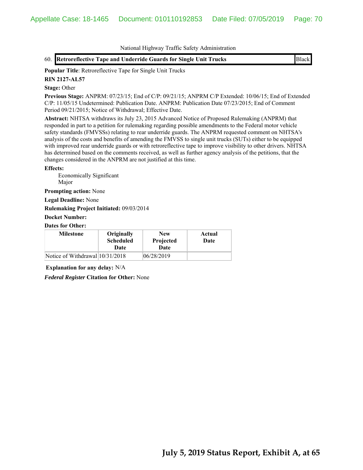**Popular Title**: Retroreflective Tape for Single Unit Trucks

# **RIN 2127-AL57**

### **Stage:** Other

**Previous Stage:** ANPRM: 07/23/15; End of C/P: 09/21/15; ANPRM C/P Extended: 10/06/15; End of Extended C/P: 11/05/15 Undetermined: Publication Date. ANPRM: Publication Date 07/23/2015; End of Comment Period 09/21/2015; Notice of Withdrawal; Effective Date.

**Abstract:** NHTSA withdraws its July 23, 2015 Advanced Notice of Proposed Rulemaking (ANPRM) that responded in part to a petition for rulemaking regarding possible amendments to the Federal motor vehicle safety standards (FMVSSs) relating to rear underride guards. The ANPRM requested comment on NHTSA's analysis of the costs and benefits of amending the FMVSS to single unit trucks (SUTs) either to be equipped with improved rear underride guards or with retroreflective tape to improve visibility to other drivers. NHTSA has determined based on the comments received, as well as further agency analysis of the petitions, that the changes considered in the ANPRM are not justified at this time.

### **Effects:**

 Economically Significant Major

**Prompting action:** None

**Legal Deadline:** None

**Rulemaking Project Initiated:** 09/03/2014

### **Docket Number:**

### **Dates for Other:**

| <b>Milestone</b>                | Originally<br><b>Scheduled</b><br>Date | <b>New</b><br>Projected<br>Date | Actual<br>Date |
|---------------------------------|----------------------------------------|---------------------------------|----------------|
| Notice of Withdrawal 10/31/2018 |                                        | 06/28/2019                      |                |

**Explanation for any delay:** N/A

*Federal Register* **Citation for Other:** None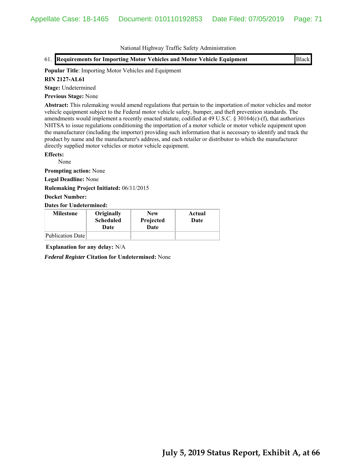61. **Requirements for Importing Motor Vehicles and Motor Vehicle Equipment** Black

### **Popular Title**: Importing Motor Vehicles and Equipment

#### **RIN 2127-AL61**

**Stage:** Undetermined

**Previous Stage:** None

**Abstract:** This rulemaking would amend regulations that pertain to the importation of motor vehicles and motor vehicle equipment subject to the Federal motor vehicle safety, bumper, and theft prevention standards. The amendments would implement a recently enacted statute, codified at 49 U.S.C. § 30164(c)-(f), that authorizes NHTSA to issue regulations conditioning the importation of a motor vehicle or motor vehicle equipment upon the manufacturer (including the importer) providing such information that is necessary to identify and track the product by name and the manufacturer's address, and each retailer or distributor to which the manufacturer directly supplied motor vehicles or motor vehicle equipment.

#### **Effects:**

None

**Prompting action:** None

**Legal Deadline:** None

**Rulemaking Project Initiated:** 06/11/2015

**Docket Number:**

**Dates for Undetermined:**

| <b>Milestone</b> | Originally<br><b>Scheduled</b><br>Date | <b>New</b><br>Projected<br>Date | Actual<br>Date |
|------------------|----------------------------------------|---------------------------------|----------------|
| Publication Date |                                        |                                 |                |

**Explanation for any delay:** N/A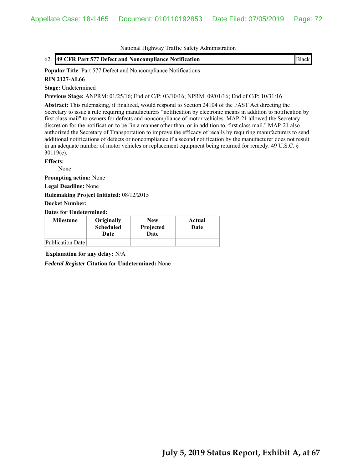### 62. **49 CFR Part 577 Defect and Noncompliance Notification** Black

**Popular Title**: Part 577 Defect and Noncompliance Notifications

### **RIN 2127-AL66**

**Stage:** Undetermined

**Previous Stage:** ANPRM: 01/25/16; End of C/P: 03/10/16; NPRM: 09/01/16; End of C/P: 10/31/16

**Abstract:** This rulemaking, if finalized, would respond to Section 24104 of the FAST Act directing the Secretary to issue a rule requiring manufacturers "notification by electronic means in addition to notification by first class mail" to owners for defects and noncompliance of motor vehicles. MAP-21 allowed the Secretary discretion for the notification to be "in a manner other than, or in addition to, first class mail." MAP-21 also authorized the Secretary of Transportation to improve the efficacy of recalls by requiring manufacturers to send additional notifications of defects or noncompliance if a second notification by the manufacturer does not result in an adequate number of motor vehicles or replacement equipment being returned for remedy. 49 U.S.C. § 30119(e).

### **Effects:**

None

**Prompting action:** None

**Legal Deadline:** None

**Rulemaking Project Initiated:** 08/12/2015

#### **Docket Number:**

**Dates for Undetermined:**

| <b>Milestone</b> | Originally<br><b>Scheduled</b><br>Date | <b>New</b><br>Projected<br>Date | Actual<br>Date |
|------------------|----------------------------------------|---------------------------------|----------------|
| Publication Date |                                        |                                 |                |

**Explanation for any delay:** N/A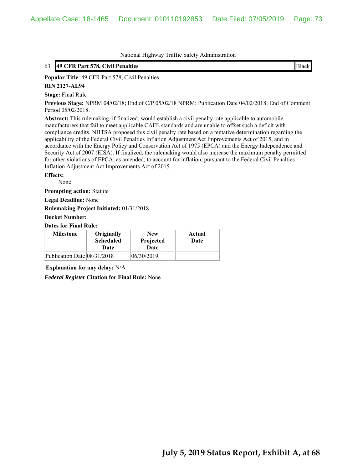### 63. **49 CFR Part 578, Civil Penalties** Black

**Popular Title**: 49 CFR Part 578, Civil Penalties

#### **RIN 2127-AL94**

**Stage:** Final Rule

**Previous Stage:** NPRM 04/02/18; End of C/P 05/02/18 NPRM: Publication Date 04/02/2018; End of Comment Period 05/02/2018.

**Abstract:** This rulemaking, if finalized, would establish a civil penalty rate applicable to automobile manufacturers that fail to meet applicable CAFE standards and are unable to offset such a deficit with compliance credits. NHTSA proposed this civil penalty rate based on a tentative determination regarding the applicability of the Federal Civil Penalties Inflation Adjustment Act Improvements Act of 2015, and in accordance with the Energy Policy and Conservation Act of 1975 (EPCA) and the Energy Independence and Security Act of 2007 (EISA). If finalized, the rulemaking would also increase the maximum penalty permitted for other violations of EPCA, as amended, to account for inflation, pursuant to the Federal Civil Penalties Inflation Adjustment Act Improvements Act of 2015.

**Effects:**

None

**Prompting action:** Statute

**Legal Deadline:** None

**Rulemaking Project Initiated:** 01/31/2018

**Docket Number:**

**Dates for Final Rule:**

| <b>Milestone</b>            | Originally<br><b>Scheduled</b><br>Date | <b>New</b><br>Projected<br>Date | Actual<br>Date |
|-----------------------------|----------------------------------------|---------------------------------|----------------|
| Publication Date 08/31/2018 |                                        | 06/30/2019                      |                |

**Explanation for any delay:** N/A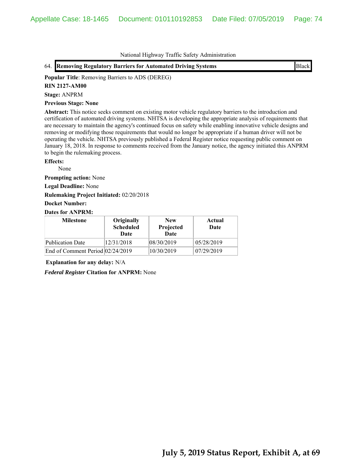64. **Removing Regulatory Barriers for Automated Driving Systems Example 2018** Black

**Popular Title**: Removing Barriers to ADS (DEREG)

**RIN 2127-AM00**

**Stage:** ANPRM

**Previous Stage: None**

**Abstract:** This notice seeks comment on existing motor vehicle regulatory barriers to the introduction and certification of automated driving systems. NHTSA is developing the appropriate analysis of requirements that are necessary to maintain the agency's continued focus on safety while enabling innovative vehicle designs and removing or modifying those requirements that would no longer be appropriate if a human driver will not be operating the vehicle. NHTSA previously published a Federal Register notice requesting public comment on January 18, 2018. In response to comments received from the January notice, the agency initiated this ANPRM to begin the rulemaking process.

### **Effects:**

None

**Prompting action:** None

**Legal Deadline:** None

**Rulemaking Project Initiated:** 02/20/2018

## **Docket Number:**

# **Dates for ANPRM:**

| <b>Milestone</b>                 | Originally<br><b>Scheduled</b><br>Date | <b>New</b><br>Projected<br><b>Date</b> | Actual<br>Date |
|----------------------------------|----------------------------------------|----------------------------------------|----------------|
| <b>Publication Date</b>          | 12/31/2018                             | 08/30/2019                             | 05/28/2019     |
| End of Comment Period 02/24/2019 |                                        | 10/30/2019                             | 07/29/2019     |

**Explanation for any delay:** N/A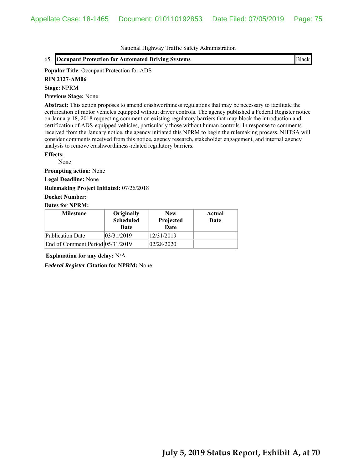65. **Occupant Protection for Automated Driving Systems** Black

#### **Popular Title**: Occupant Protection for ADS

**RIN 2127-AM06**

#### **Stage:** NPRM

**Previous Stage:** None

**Abstract:** This action proposes to amend crashworthiness regulations that may be necessary to facilitate the certification of motor vehicles equipped without driver controls. The agency published a Federal Register notice on January 18, 2018 requesting comment on existing regulatory barriers that may block the introduction and certification of ADS-equipped vehicles, particularly those without human controls. In response to comments received from the January notice, the agency initiated this NPRM to begin the rulemaking process. NHTSA will consider comments received from this notice, agency research, stakeholder engagement, and internal agency analysis to remove crashworthiness-related regulatory barriers.

#### **Effects:**

None

**Prompting action:** None

**Legal Deadline:** None

**Rulemaking Project Initiated:** 07/26/2018

# **Docket Number:**

### **Dates for NPRM:**

| <b>Milestone</b>                 | Originally<br><b>Scheduled</b><br>Date | <b>New</b><br>Projected<br>Date | Actual<br>Date |
|----------------------------------|----------------------------------------|---------------------------------|----------------|
| <b>Publication Date</b>          | 03/31/2019                             | 12/31/2019                      |                |
| End of Comment Period 05/31/2019 |                                        | 02/28/2020                      |                |

**Explanation for any delay:** N/A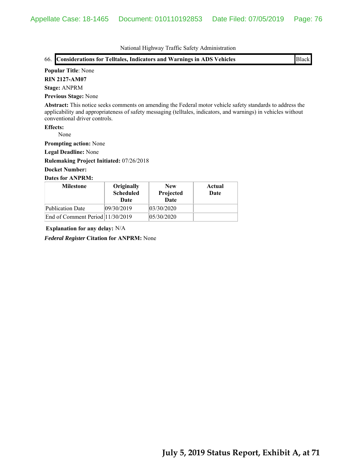|                                                                           |                  | $\ldots$   |        |                                                                                                                                                                                                                               |
|---------------------------------------------------------------------------|------------------|------------|--------|-------------------------------------------------------------------------------------------------------------------------------------------------------------------------------------------------------------------------------|
| 66. Considerations for Telltales, Indicators and Warnings in ADS Vehicles |                  |            |        | <b>Black</b>                                                                                                                                                                                                                  |
| <b>Popular Title: None</b>                                                |                  |            |        |                                                                                                                                                                                                                               |
| <b>RIN 2127-AM07</b>                                                      |                  |            |        |                                                                                                                                                                                                                               |
| <b>Stage: ANPRM</b>                                                       |                  |            |        |                                                                                                                                                                                                                               |
| <b>Previous Stage: None</b>                                               |                  |            |        |                                                                                                                                                                                                                               |
| conventional driver controls.                                             |                  |            |        | Abstract: This notice seeks comments on amending the Federal motor vehicle safety standards to address the<br>applicability and appropriateness of safety messaging (telltales, indicators, and warnings) in vehicles without |
| <b>Effects:</b>                                                           |                  |            |        |                                                                                                                                                                                                                               |
| None                                                                      |                  |            |        |                                                                                                                                                                                                                               |
| <b>Prompting action:</b> None                                             |                  |            |        |                                                                                                                                                                                                                               |
| <b>Legal Deadline: None</b>                                               |                  |            |        |                                                                                                                                                                                                                               |
| <b>Rulemaking Project Initiated: 07/26/2018</b>                           |                  |            |        |                                                                                                                                                                                                                               |
| <b>Docket Number:</b>                                                     |                  |            |        |                                                                                                                                                                                                                               |
| <b>Dates for ANPRM:</b>                                                   |                  |            |        |                                                                                                                                                                                                                               |
| <b>Milestone</b>                                                          | Originally       | <b>New</b> | Actual |                                                                                                                                                                                                                               |
|                                                                           | <b>Scheduled</b> | Projected  | Date   |                                                                                                                                                                                                                               |
|                                                                           | Date             | Date       |        |                                                                                                                                                                                                                               |
| <b>Publication Date</b>                                                   | 09/30/2019       | 03/30/2020 |        |                                                                                                                                                                                                                               |

**Explanation for any delay:** N/A

*Federal Register* **Citation for ANPRM:** None

End of Comment Period  $|11/30/2019$   $|05/30/2020$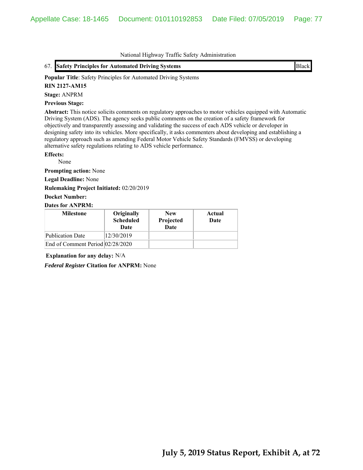|  |  | 67. Safety Principles for Automated Driving Systems | <b>Black</b> |
|--|--|-----------------------------------------------------|--------------|
|--|--|-----------------------------------------------------|--------------|

**Popular Title**: Safety Principles for Automated Driving Systems

## **RIN 2127-AM15**

**Stage:** ANPRM

## **Previous Stage:**

**Abstract:** This notice solicits comments on regulatory approaches to motor vehicles equipped with Automatic Driving System (ADS). The agency seeks public comments on the creation of a safety framework for objectively and transparently assessing and validating the success of each ADS vehicle or developer in designing safety into its vehicles. More specifically, it asks commenters about developing and establishing a regulatory approach such as amending Federal Motor Vehicle Safety Standards (FMVSS) or developing alternative safety regulations relating to ADS vehicle performance.

### **Effects:**

None

**Prompting action:** None

**Legal Deadline:** None

**Rulemaking Project Initiated:** 02/20/2019

**Docket Number:**

## **Dates for ANPRM:**

| <b>Milestone</b>                 | Originally<br><b>Scheduled</b><br>Date | <b>New</b><br>Projected<br>Date | Actual<br>Date |
|----------------------------------|----------------------------------------|---------------------------------|----------------|
| <b>Publication Date</b>          | 12/30/2019                             |                                 |                |
| End of Comment Period 02/28/2020 |                                        |                                 |                |

**Explanation for any delay:** N/A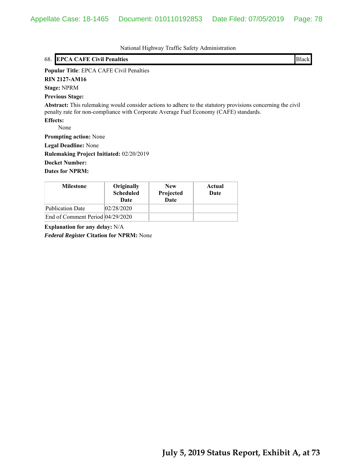| National Highway Traffic Safety Administration                                                                                                                                                       |
|------------------------------------------------------------------------------------------------------------------------------------------------------------------------------------------------------|
| <b>EPCA CAFE Civil Penalties</b><br>Black<br>68.                                                                                                                                                     |
| <b>Popular Title: EPCA CAFE Civil Penalties</b>                                                                                                                                                      |
| <b>RIN 2127-AM16</b>                                                                                                                                                                                 |
| <b>Stage: NPRM</b>                                                                                                                                                                                   |
| <b>Previous Stage:</b>                                                                                                                                                                               |
| Abstract: This rulemaking would consider actions to adhere to the statutory provisions concerning the civil<br>penalty rate for non-compliance with Corporate Average Fuel Economy (CAFE) standards. |
| <b>Effects:</b>                                                                                                                                                                                      |
| None                                                                                                                                                                                                 |
| <b>Prompting action:</b> None                                                                                                                                                                        |
| <b>Legal Deadline:</b> None                                                                                                                                                                          |
| <b>Rulemaking Project Initiated: 02/20/2019</b>                                                                                                                                                      |
| <b>Docket Number:</b>                                                                                                                                                                                |
| <b>Dates for NPRM:</b>                                                                                                                                                                               |

| <b>Milestone</b>                 | Originally<br><b>Scheduled</b><br>Date | <b>New</b><br>Projected<br>Date | Actual<br>Date |
|----------------------------------|----------------------------------------|---------------------------------|----------------|
| <b>Publication Date</b>          | 02/28/2020                             |                                 |                |
| End of Comment Period 04/29/2020 |                                        |                                 |                |

**Explanation for any delay:** N/A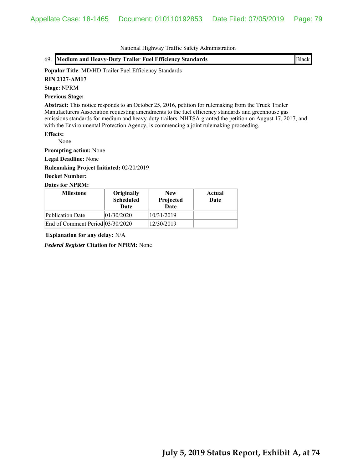|  | 69. Medium and Heavy-Duty Trailer Fuel Efficiency Standards | <b>Black</b> |  |
|--|-------------------------------------------------------------|--------------|--|
|--|-------------------------------------------------------------|--------------|--|

## **Popular Title**: MD/HD Trailer Fuel Efficiency Standards

**RIN 2127-AM17**

**Stage:** NPRM

#### **Previous Stage:**

**Abstract:** This notice responds to an October 25, 2016, petition for rulemaking from the Truck Trailer Manufacturers Association requesting amendments to the fuel efficiency standards and greenhouse gas emissions standards for medium and heavy-duty trailers. NHTSA granted the petition on August 17, 2017, and with the Environmental Protection Agency, is commencing a joint rulemaking proceeding.

## **Effects:**

None

**Prompting action:** None

**Legal Deadline:** None

**Rulemaking Project Initiated:** 02/20/2019

# **Docket Number:**

## **Dates for NPRM:**

| <b>Milestone</b>                 | Originally<br><b>Scheduled</b><br>Date | <b>New</b><br>Projected<br>Date | Actual<br>Date |
|----------------------------------|----------------------------------------|---------------------------------|----------------|
| Publication Date                 | 01/30/2020                             | 10/31/2019                      |                |
| End of Comment Period 03/30/2020 |                                        | 12/30/2019                      |                |

**Explanation for any delay:** N/A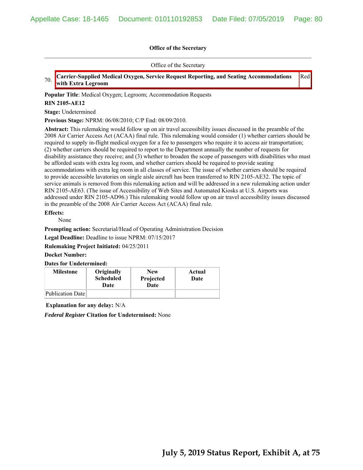Office of the Secretary

70. **Carrier-Supplied Medical Oxygen, Service Request Reporting, and Seating Accommodations with Extra Legroom** Red

## **Popular Title**: Medical Oxygen; Legroom; Accommodation Requests

#### **RIN 2105-AE12**

**Stage:** Undetermined

**Previous Stage:** NPRM: 06/08/2010; C/P End: 08/09/2010.

**Abstract:** This rulemaking would follow up on air travel accessibility issues discussed in the preamble of the 2008 Air Carrier Access Act (ACAA) final rule. This rulemaking would consider (1) whether carriers should be required to supply in-flight medical oxygen for a fee to passengers who require it to access air transportation; (2) whether carriers should be required to report to the Department annually the number of requests for disability assistance they receive; and (3) whether to broaden the scope of passengers with disabilities who must be afforded seats with extra leg room, and whether carriers should be required to provide seating accommodations with extra leg room in all classes of service. The issue of whether carriers should be required to provide accessible lavatories on single aisle aircraft has been transferred to RIN 2105-AE32. The topic of service animals is removed from this rulemaking action and will be addressed in a new rulemaking action under RIN 2105-AE63. (The issue of Accessibility of Web Sites and Automated Kiosks at U.S. Airports was addressed under RIN 2105-AD96.) This rulemaking would follow up on air travel accessibility issues discussed in the preamble of the 2008 Air Carrier Access Act (ACAA) final rule.

## **Effects:**

None

**Prompting action:** Secretarial/Head of Operating Administration Decision

**Legal Deadline:** Deadline to issue NPRM: 07/15/2017

**Rulemaking Project Initiated:** 04/25/2011

### **Docket Number:**

**Dates for Undetermined:**

| <b>Milestone</b> | Originally<br><b>Scheduled</b><br>Date | <b>New</b><br>Projected<br>Date | Actual<br>Date |
|------------------|----------------------------------------|---------------------------------|----------------|
| Publication Date |                                        |                                 |                |

**Explanation for any delay:** N/A

*Federal Register* **Citation for Undetermined:** None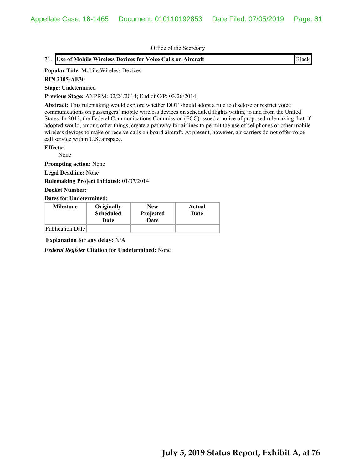# 71. **Use of Mobile Wireless Devices for Voice Calls on Aircraft** Black

#### **Popular Title**: Mobile Wireless Devices

#### **RIN 2105-AE30**

**Stage:** Undetermined

**Previous Stage:** ANPRM: 02/24/2014; End of C/P: 03/26/2014.

**Abstract:** This rulemaking would explore whether DOT should adopt a rule to disclose or restrict voice communications on passengers´ mobile wireless devices on scheduled flights within, to and from the United States. In 2013, the Federal Communications Commission (FCC) issued a notice of proposed rulemaking that, if adopted would, among other things, create a pathway for airlines to permit the use of cellphones or other mobile wireless devices to make or receive calls on board aircraft. At present, however, air carriers do not offer voice call service within U.S. airspace.

**Effects:**

None

**Prompting action:** None

**Legal Deadline:** None

**Rulemaking Project Initiated:** 01/07/2014

**Docket Number:**

**Dates for Undetermined:**

| <b>Milestone</b> | Originally<br><b>Scheduled</b><br>Date | <b>New</b><br>Projected<br>Date | Actual<br>Date |
|------------------|----------------------------------------|---------------------------------|----------------|
| Publication Date |                                        |                                 |                |

**Explanation for any delay:** N/A

*Federal Register* **Citation for Undetermined:** None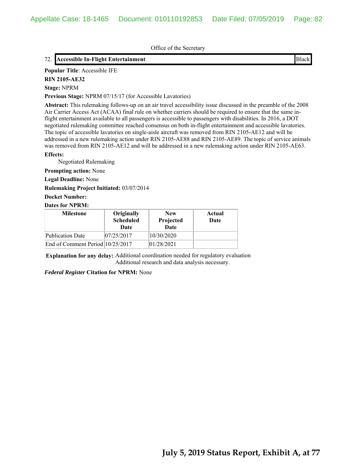# 72. **Accessible In-Flight Entertainment** Black

# **Popular Title**: Accessible IFE

**RIN 2105-AE32**

#### **Stage:** NPRM

**Previous Stage:** NPRM 07/15/17 (for Accessible Lavatories)

**Abstract:** This rulemaking follows-up on an air travel accessibility issue discussed in the preamble of the 2008 Air Carrier Access Act (ACAA) final rule on whether carriers should be required to ensure that the same inflight entertainment available to all passengers is accessible to passengers with disabilities. In 2016, a DOT negotiated rulemaking committee reached consensus on both in-flight entertainment and accessible lavatories. The topic of accessible lavatories on single-aisle aircraft was removed from RIN 2105-AE12 and will be addressed in a new rulemaking action under RIN 2105-AE88 and RIN 2105-AE89. The topic of service animals was removed from RIN 2105-AE12 and will be addressed in a new rulemaking action under RIN 2105-AE63.

#### **Effects:**

Negotiated Rulemaking

**Prompting action:** None

**Legal Deadline:** None

**Rulemaking Project Initiated:** 03/07/2014

# **Docket Number:**

### **Dates for NPRM:**

| <b>Milestone</b>                 | Originally<br><b>Scheduled</b><br>Date | <b>New</b><br>Projected<br>Date | Actual<br>Date |
|----------------------------------|----------------------------------------|---------------------------------|----------------|
| Publication Date                 | 07/25/2017                             | 10/30/2020                      |                |
| End of Comment Period 10/25/2017 |                                        | 01/28/2021                      |                |

**Explanation for any delay:** Additional coordination needed for regulatory evaluation Additional research and data analysis necessary.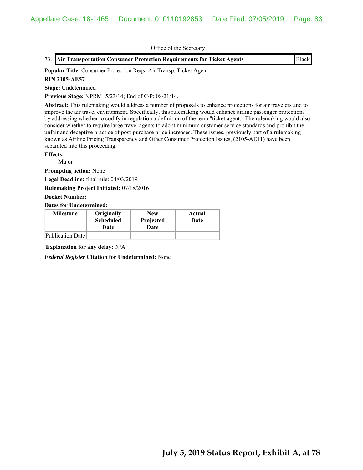|  | 73. Air Transportation Consumer Protection Requirements for Ticket Agents | <b>Black</b> |  |
|--|---------------------------------------------------------------------------|--------------|--|
|--|---------------------------------------------------------------------------|--------------|--|

**Popular Title**: Consumer Protection Reqs: Air Transp. Ticket Agent

# **RIN 2105-AE57**

**Stage:** Undetermined

**Previous Stage:** NPRM: 5/23/14; End of C/P: 08/21/14.

**Abstract:** This rulemaking would address a number of proposals to enhance protections for air travelers and to improve the air travel environment. Specifically, this rulemaking would enhance airline passenger protections by addressing whether to codify in regulation a definition of the term "ticket agent." The rulemaking would also consider whether to require large travel agents to adopt minimum customer service standards and prohibit the unfair and deceptive practice of post-purchase price increases. These issues, previously part of a rulemaking known as Airline Pricing Transparency and Other Consumer Protection Issues, (2105-AE11) have been separated into this proceeding.

## **Effects:**

Major

**Prompting action:** None

**Legal Deadline:** final rule: 04/03/2019

**Rulemaking Project Initiated:** 07/18/2016

**Docket Number:**

**Dates for Undetermined:**

| <b>Milestone</b> | Originally<br><b>Scheduled</b><br>Date | <b>New</b><br>Projected<br>Date | Actual<br>Date |
|------------------|----------------------------------------|---------------------------------|----------------|
| Publication Date |                                        |                                 |                |

**Explanation for any delay:** N/A

*Federal Register* **Citation for Undetermined:** None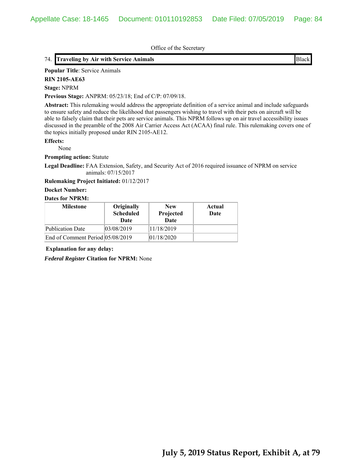# 74. **Traveling by Air with Service Animals** Black

**Popular Title**: Service Animals

**RIN 2105-AE63**

**Stage:** NPRM

**Previous Stage:** ANPRM: 05/23/18; End of C/P: 07/09/18.

**Abstract:** This rulemaking would address the appropriate definition of a service animal and include safeguards to ensure safety and reduce the likelihood that passengers wishing to travel with their pets on aircraft will be able to falsely claim that their pets are service animals. This NPRM follows up on air travel accessibility issues discussed in the preamble of the 2008 Air Carrier Access Act (ACAA) final rule. This rulemaking covers one of the topics initially proposed under RIN 2105-AE12.

#### **Effects:**

None

**Prompting action:** Statute

**Legal Deadline:** FAA Extension, Safety, and Security Act of 2016 required issuance of NPRM on service animals: 07/15/2017

#### **Rulemaking Project Initiated:** 01/12/2017

#### **Docket Number:**

#### **Dates for NPRM:**

| <b>Milestone</b>                 | Originally<br><b>Scheduled</b><br>Date | <b>New</b><br>Projected<br><b>Date</b> | Actual<br>Date |
|----------------------------------|----------------------------------------|----------------------------------------|----------------|
| Publication Date                 | 03/08/2019                             | 11/18/2019                             |                |
| End of Comment Period 05/08/2019 |                                        | 01/18/2020                             |                |

**Explanation for any delay:**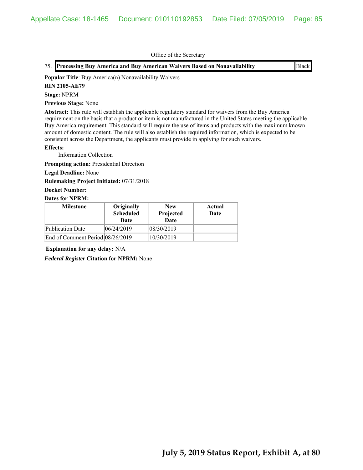|  | 75. Processing Buy America and Buy American Waivers Based on Nonavailability | <b>Black</b> |
|--|------------------------------------------------------------------------------|--------------|
|--|------------------------------------------------------------------------------|--------------|

**Popular Title**: Buy America(n) Nonavailability Waivers

#### **RIN 2105-AE79**

**Stage:** NPRM

**Previous Stage:** None

**Abstract:** This rule will establish the applicable regulatory standard for waivers from the Buy America requirement on the basis that a product or item is not manufactured in the United States meeting the applicable Buy America requirement. This standard will require the use of items and products with the maximum known amount of domestic content. The rule will also establish the required information, which is expected to be consistent across the Department, the applicants must provide in applying for such waivers.

#### **Effects:**

Information Collection

**Prompting action:** Presidential Direction

## **Legal Deadline:** None

**Rulemaking Project Initiated:** 07/31/2018

### **Docket Number:**

#### **Dates for NPRM:**

| <b>Milestone</b>                 | Originally<br><b>Scheduled</b><br>Date | <b>New</b><br>Projected<br>Date | Actual<br>Date |
|----------------------------------|----------------------------------------|---------------------------------|----------------|
| Publication Date                 | 06/24/2019                             | 08/30/2019                      |                |
| End of Comment Period 08/26/2019 |                                        | 10/30/2019                      |                |

**Explanation for any delay:** N/A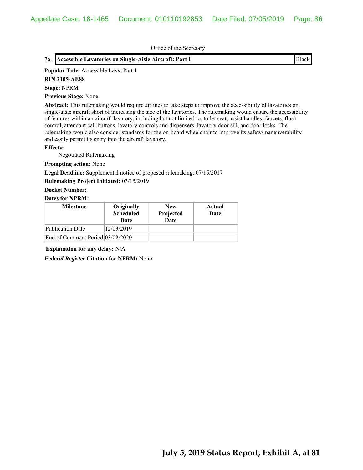# 76. **Accessible Lavatories on Single-Aisle Aircraft: Part I** Black

#### **Popular Title**: Accessible Lavs: Part 1

**RIN 2105-AE88**

#### **Stage:** NPRM

**Previous Stage:** None

**Abstract:** This rulemaking would require airlines to take steps to improve the accessibility of lavatories on single-aisle aircraft short of increasing the size of the lavatories. The rulemaking would ensure the accessibility of features within an aircraft lavatory, including but not limited to, toilet seat, assist handles, faucets, flush control, attendant call buttons, lavatory controls and dispensers, lavatory door sill, and door locks. The rulemaking would also consider standards for the on-board wheelchair to improve its safety/maneuverability and easily permit its entry into the aircraft lavatory.

#### **Effects:**

Negotiated Rulemaking

#### **Prompting action:** None

**Legal Deadline:** Supplemental notice of proposed rulemaking: 07/15/2017

### **Rulemaking Project Initiated:** 03/15/2019

**Docket Number:**

#### **Dates for NPRM:**

| <b>Milestone</b>                 | Originally<br><b>Scheduled</b><br>Date | <b>New</b><br>Projected<br>Date | Actual<br>Date |
|----------------------------------|----------------------------------------|---------------------------------|----------------|
| Publication Date                 | 12/03/2019                             |                                 |                |
| End of Comment Period 03/02/2020 |                                        |                                 |                |

**Explanation for any delay:** N/A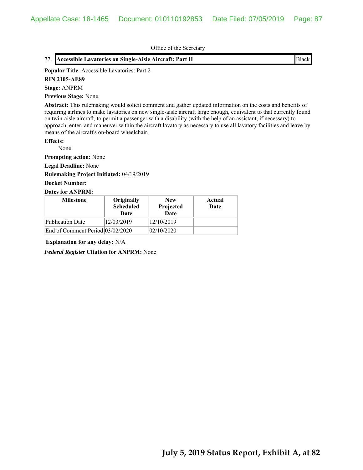# 77. **Accessible Lavatories on Single-Aisle Aircraft: Part II** Black

#### **Popular Title**: Accessible Lavatories: Part 2

**RIN 2105-AE89**

# **Stage:** ANPRM

**Previous Stage:** None.

**Abstract:** This rulemaking would solicit comment and gather updated information on the costs and benefits of requiring airlines to make lavatories on new single-aisle aircraft large enough, equivalent to that currently found on twin-aisle aircraft, to permit a passenger with a disability (with the help of an assistant, if necessary) to approach, enter, and maneuver within the aircraft lavatory as necessary to use all lavatory facilities and leave by means of the aircraft's on-board wheelchair.

## **Effects:**

None

**Prompting action:** None

**Legal Deadline:** None

**Rulemaking Project Initiated:** 04/19/2019

## **Docket Number:**

# **Dates for ANPRM:**

| <b>Milestone</b>                 | Originally<br><b>Scheduled</b><br>Date | <b>New</b><br>Projected<br><b>Date</b> | Actual<br>Date |
|----------------------------------|----------------------------------------|----------------------------------------|----------------|
| Publication Date                 | 12/03/2019                             | 12/10/2019                             |                |
| End of Comment Period 03/02/2020 |                                        | 02/10/2020                             |                |

**Explanation for any delay:** N/A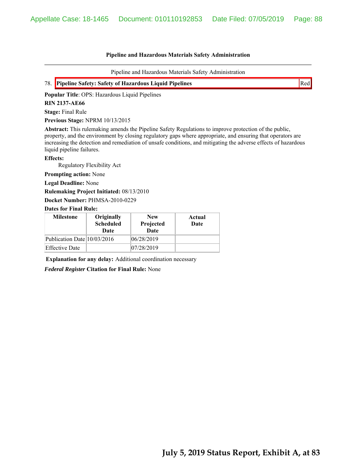Pipeline and Hazardous Materials Safety Administration



**Popular Title**: OPS: Hazardous Liquid Pipelines

### **RIN 2137-AE66**

**Stage:** Final Rule

**Previous Stage:** NPRM 10/13/2015

**Abstract:** This rulemaking amends the Pipeline Safety Regulations to improve protection of the public, property, and the environment by closing regulatory gaps where appropriate, and ensuring that operators are increasing the detection and remediation of unsafe conditions, and mitigating the adverse effects of hazardous liquid pipeline failures.

#### **Effects:**

Regulatory Flexibility Act

**Prompting action:** None

**Legal Deadline:** None

**Rulemaking Project Initiated:** 08/13/2010

**Docket Number:** PHMSA-2010-0229

#### **Dates for Final Rule:**

| <b>Milestone</b>            | Originally<br><b>Scheduled</b><br>Date | <b>New</b><br>Projected<br><b>Date</b> | Actual<br>Date |
|-----------------------------|----------------------------------------|----------------------------------------|----------------|
| Publication Date 10/03/2016 |                                        | 06/28/2019                             |                |
| <b>Effective Date</b>       |                                        | 07/28/2019                             |                |

**Explanation for any delay:** Additional coordination necessary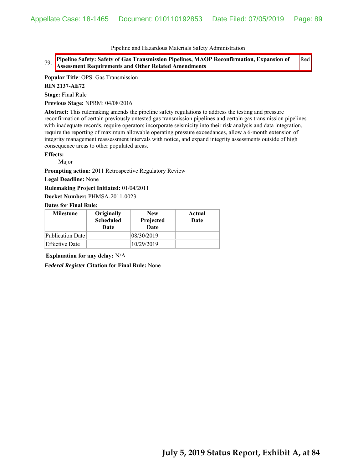79. **Pipeline Safety: Safety of Gas Transmission Pipelines, MAOP Reconfirmation, Expansion of Assessment Requirements and Other Related Amendments** Red

**Popular Title**: OPS: Gas Transmission

**RIN 2137-AE72**

**Stage:** Final Rule

**Previous Stage:** NPRM: 04/08/2016

**Abstract:** This rulemaking amends the pipeline safety regulations to address the testing and pressure reconfirmation of certain previously untested gas transmission pipelines and certain gas transmission pipelines with inadequate records, require operators incorporate seismicity into their risk analysis and data integration, require the reporting of maximum allowable operating pressure exceedances, allow a 6-month extension of integrity management reassessment intervals with notice, and expand integrity assessments outside of high consequence areas to other populated areas.

**Effects:**

Major

**Prompting action:** 2011 Retrospective Regulatory Review

**Legal Deadline:** None

**Rulemaking Project Initiated:** 01/04/2011

**Docket Number:** PHMSA-2011-0023

**Dates for Final Rule:**

| <b>Milestone</b> | Originally<br><b>Scheduled</b><br>Date | <b>New</b><br>Projected<br><b>Date</b> | Actual<br>Date |
|------------------|----------------------------------------|----------------------------------------|----------------|
| Publication Date |                                        | 08/30/2019                             |                |
| Effective Date   |                                        | 10/29/2019                             |                |

**Explanation for any delay:** N/A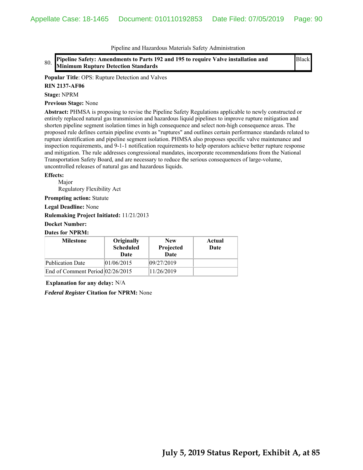80. **Pipeline Safety: Amendments to Parts 192 and 195 to require Valve installation and Minimum Rupture Detection Standards**

Black

**Popular Title**: OPS: Rupture Detection and Valves

**RIN 2137-AF06**

**Stage:** NPRM

**Previous Stage:** None

**Abstract:** PHMSA is proposing to revise the Pipeline Safety Regulations applicable to newly constructed or entirely replaced natural gas transmission and hazardous liquid pipelines to improve rupture mitigation and shorten pipeline segment isolation times in high consequence and select non-high consequence areas. The proposed rule defines certain pipeline events as "ruptures" and outlines certain performance standards related to rupture identification and pipeline segment isolation. PHMSA also proposes specific valve maintenance and inspection requirements, and 9-1-1 notification requirements to help operators achieve better rupture response and mitigation. The rule addresses congressional mandates, incorporate recommendations from the National Transportation Safety Board, and are necessary to reduce the serious consequences of large-volume, uncontrolled releases of natural gas and hazardous liquids.

#### **Effects:**

 Major Regulatory Flexibility Act

**Prompting action:** Statute

**Legal Deadline:** None

**Rulemaking Project Initiated:** 11/21/2013

# **Docket Number:**

### **Dates for NPRM:**

| <b>Milestone</b>                 | Originally<br><b>Scheduled</b><br>Date | <b>New</b><br>Projected<br>Date | Actual<br>Date |
|----------------------------------|----------------------------------------|---------------------------------|----------------|
| <b>Publication Date</b>          | 01/06/2015                             | 09/27/2019                      |                |
| End of Comment Period 02/26/2015 |                                        | 11/26/2019                      |                |

**Explanation for any delay:** N/A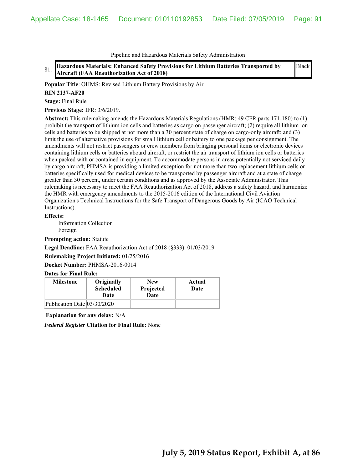81. **Hazardous Materials: Enhanced Safety Provisions for Lithium Batteries Transported by Aircraft (FAA Reauthorization Act of 2018)** Black

**Popular Title**: OHMS: Revised Lithium Battery Provisions by Air

#### **RIN 2137-AF20**

**Stage:** Final Rule

**Previous Stage:** IFR: 3/6/2019.

**Abstract:** This rulemaking amends the Hazardous Materials Regulations (HMR; 49 CFR parts 171-180) to (1) prohibit the transport of lithium ion cells and batteries as cargo on passenger aircraft; (2) require all lithium ion cells and batteries to be shipped at not more than a 30 percent state of charge on cargo-only aircraft; and (3) limit the use of alternative provisions for small lithium cell or battery to one package per consignment. The amendments will not restrict passengers or crew members from bringing personal items or electronic devices containing lithium cells or batteries aboard aircraft, or restrict the air transport of lithium ion cells or batteries when packed with or contained in equipment. To accommodate persons in areas potentially not serviced daily by cargo aircraft, PHMSA is providing a limited exception for not more than two replacement lithium cells or batteries specifically used for medical devices to be transported by passenger aircraft and at a state of charge greater than 30 percent, under certain conditions and as approved by the Associate Administrator. This rulemaking is necessary to meet the FAA Reauthorization Act of 2018, address a safety hazard, and harmonize the HMR with emergency amendments to the 2015-2016 edition of the International Civil Aviation Organization's Technical Instructions for the Safe Transport of Dangerous Goods by Air (ICAO Technical Instructions).

#### **Effects:**

 Information Collection Foreign

**Prompting action:** Statute

**Legal Deadline:** FAA Reauthorization Act of 2018 (§333): 01/03/2019

**Rulemaking Project Initiated:** 01/25/2016

**Docket Number:** PHMSA-2016-0014

## **Dates for Final Rule:**

| <b>Milestone</b>            | Originally<br><b>Scheduled</b><br>Date | <b>New</b><br>Projected<br>Date | Actual<br>Date |
|-----------------------------|----------------------------------------|---------------------------------|----------------|
| Publication Date 03/30/2020 |                                        |                                 |                |

**Explanation for any delay:** N/A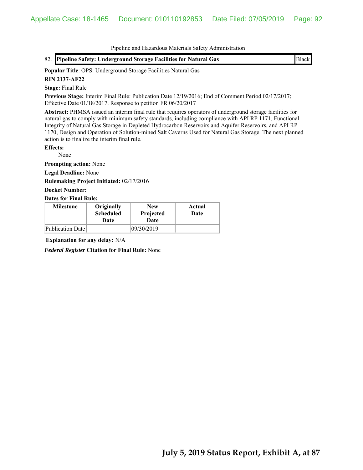**Popular Title**: OPS: Underground Storage Facilities Natural Gas **RIN 2137-AF22**

**Stage:** Final Rule

**Previous Stage:** Interim Final Rule: Publication Date 12/19/2016; End of Comment Period 02/17/2017; Effective Date 01/18/2017. Response to petition FR 06/20/2017

**Abstract:** PHMSA issued an interim final rule that requires operators of underground storage facilities for natural gas to comply with minimum safety standards, including compliance with API RP 1171, Functional Integrity of Natural Gas Storage in Depleted Hydrocarbon Reservoirs and Aquifer Reservoirs, and API RP 1170, Design and Operation of Solution-mined Salt Caverns Used for Natural Gas Storage. The next planned action is to finalize the interim final rule.

**Effects:**

None

**Prompting action:** None

**Legal Deadline:** None

**Rulemaking Project Initiated:** 02/17/2016

**Docket Number:**

**Dates for Final Rule:**

| <b>Milestone</b> | Originally<br><b>Scheduled</b><br>Date | <b>New</b><br>Projected<br>Date | Actual<br>Date |
|------------------|----------------------------------------|---------------------------------|----------------|
| Publication Date |                                        | 09/30/2019                      |                |

**Explanation for any delay:** N/A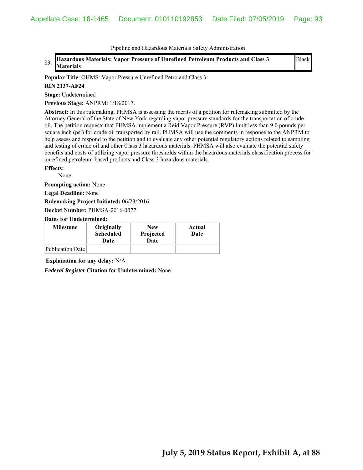83. **Hazardous Materials: Vapor Pressure of Unrefined Petroleum Products and Class 3 Materials**

Black

**Popular Title**: OHMS: Vapor Pressure Unrefined Petro and Class 3

#### **RIN 2137-AF24**

**Stage:** Undetermined

**Previous Stage:** ANPRM: 1/18/2017.

**Abstract:** In this rulemaking, PHMSA is assessing the merits of a petition for rulemaking submitted by the Attorney General of the State of New York regarding vapor pressure standards for the transportation of crude oil. The petition requests that PHMSA implement a Reid Vapor Pressure (RVP) limit less than 9.0 pounds per square inch (psi) for crude oil transported by rail. PHMSA will use the comments in response to the ANPRM to help assess and respond to the petition and to evaluate any other potential regulatory actions related to sampling and testing of crude oil and other Class 3 hazardous materials. PHMSA will also evaluate the potential safety benefits and costs of utilizing vapor pressure thresholds within the hazardous materials classification process for unrefined petroleum-based products and Class 3 hazardous materials.

#### **Effects:**

None

**Prompting action:** None

**Legal Deadline:** None

**Rulemaking Project Initiated:** 06/23/2016

**Docket Number:** PHMSA-2016-0077

**Dates for Undetermined:**

| <b>Milestone</b> | Originally<br><b>Scheduled</b><br>Date | <b>New</b><br>Projected<br>Date | Actual<br>Date |
|------------------|----------------------------------------|---------------------------------|----------------|
| Publication Date |                                        |                                 |                |

**Explanation for any delay:** N/A

*Federal Register* **Citation for Undetermined:** None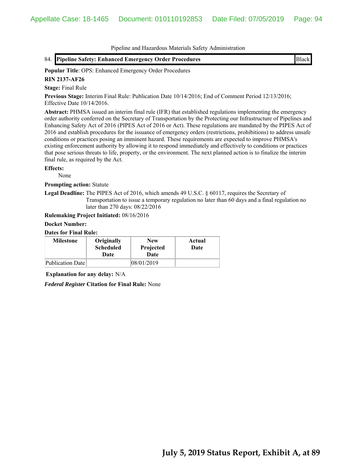84. **Pipeline Safety: Enhanced Emergency Order Procedures** Black

**Popular Title**: OPS: Enhanced Emergency Order Procedures

**RIN 2137-AF26**

**Stage:** Final Rule

**Previous Stage:** Interim Final Rule: Publication Date 10/14/2016; End of Comment Period 12/13/2016; Effective Date 10/14/2016.

**Abstract:** PHMSA issued an interim final rule (IFR) that established regulations implementing the emergency order authority conferred on the Secretary of Transportation by the Protecting our Infrastructure of Pipelines and Enhancing Safety Act of 2016 (PIPES Act of 2016 or Act). These regulations are mandated by the PIPES Act of 2016 and establish procedures for the issuance of emergency orders (restrictions, prohibitions) to address unsafe conditions or practices posing an imminent hazard. These requirements are expected to improve PHMSA's existing enforcement authority by allowing it to respond immediately and effectively to conditions or practices that pose serious threats to life, property, or the environment. The next planned action is to finalize the interim final rule, as required by the Act.

## **Effects:**

None

**Prompting action:** Statute

**Legal Deadline:** The PIPES Act of 2016, which amends 49 U.S.C. § 60117, requires the Secretary of Transportation to issue a temporary regulation no later than 60 days and a final regulation no later than 270 days: 08/22/2016

**Rulemaking Project Initiated:** 08/16/2016

### **Docket Number:**

# **Dates for Final Rule:**

| <b>Milestone</b> | Originally<br><b>Scheduled</b><br>Date | <b>New</b><br>Projected<br>Date | Actual<br>Date |
|------------------|----------------------------------------|---------------------------------|----------------|
| Publication Date |                                        | 08/01/2019                      |                |

**Explanation for any delay:** N/A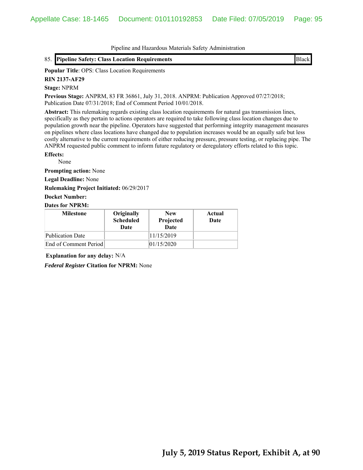**Popular Title**: OPS: Class Location Requirements

**RIN 2137-AF29**

#### **Stage:** NPRM

**Previous Stage:** ANPRM, 83 FR 36861, July 31, 2018. ANPRM: Publication Approved 07/27/2018; Publication Date 07/31/2018; End of Comment Period 10/01/2018.

**Abstract:** This rulemaking regards existing class location requirements for natural gas transmission lines, specifically as they pertain to actions operators are required to take following class location changes due to population growth near the pipeline. Operators have suggested that performing integrity management measures on pipelines where class locations have changed due to population increases would be an equally safe but less costly alternative to the current requirements of either reducing pressure, pressure testing, or replacing pipe. The ANPRM requested public comment to inform future regulatory or deregulatory efforts related to this topic.

### **Effects:**

None

**Prompting action:** None

**Legal Deadline:** None

**Rulemaking Project Initiated:** 06/29/2017

**Docket Number:**

### **Dates for NPRM:**

| <b>Milestone</b>      | Originally<br><b>Scheduled</b><br>Date | <b>New</b><br>Projected<br>Date | Actual<br>Date |
|-----------------------|----------------------------------------|---------------------------------|----------------|
| Publication Date      |                                        | 11/15/2019                      |                |
| End of Comment Period |                                        | 01/15/2020                      |                |

**Explanation for any delay:** N/A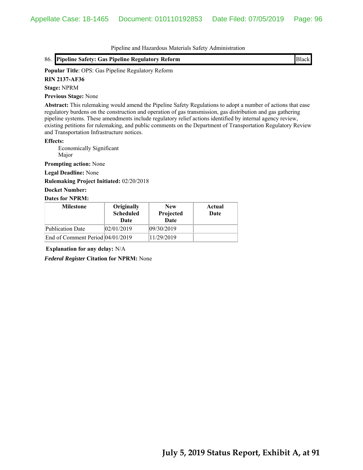### **Popular Title**: OPS: Gas Pipeline Regulatory Reform

**RIN 2137-AF36**

## **Stage:** NPRM

**Previous Stage:** None

**Abstract:** This rulemaking would amend the Pipeline Safety Regulations to adopt a number of actions that ease regulatory burdens on the construction and operation of gas transmission, gas distribution and gas gathering pipeline systems. These amendments include regulatory relief actions identified by internal agency review, existing petitions for rulemaking, and public comments on the Department of Transportation Regulatory Review and Transportation Infrastructure notices.

#### **Effects:**

 Economically Significant Major

**Prompting action:** None

**Legal Deadline:** None

#### **Rulemaking Project Initiated:** 02/20/2018

#### **Docket Number:**

#### **Dates for NPRM:**

| <b>Milestone</b>                   | Originally<br><b>Scheduled</b><br>Date | <b>New</b><br>Projected<br><b>Date</b> | Actual<br>Date |
|------------------------------------|----------------------------------------|----------------------------------------|----------------|
| Publication Date                   | 02/01/2019                             | 09/30/2019                             |                |
| End of Comment Period $04/01/2019$ |                                        | 11/29/2019                             |                |

**Explanation for any delay:** N/A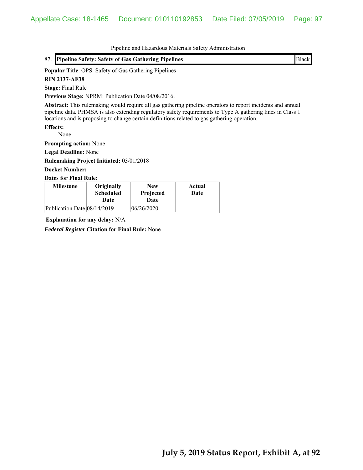| 87. Pipeline Safety: Safety of Gas Gathering Pipelines                                                                                                                                                                                                                                                                    | Black |
|---------------------------------------------------------------------------------------------------------------------------------------------------------------------------------------------------------------------------------------------------------------------------------------------------------------------------|-------|
| <b>Popular Title: OPS: Safety of Gas Gathering Pipelines</b>                                                                                                                                                                                                                                                              |       |
| <b>RIN 2137-AF38</b>                                                                                                                                                                                                                                                                                                      |       |
| <b>Stage:</b> Final Rule                                                                                                                                                                                                                                                                                                  |       |
| Previous Stage: NPRM: Publication Date 04/08/2016.                                                                                                                                                                                                                                                                        |       |
| Abstract: This rulemaking would require all gas gathering pipeline operators to report incidents and annual<br>pipeline data. PHMSA is also extending regulatory safety requirements to Type A gathering lines in Class 1<br>locations and is proposing to change certain definitions related to gas gathering operation. |       |
| <b>Effects:</b>                                                                                                                                                                                                                                                                                                           |       |
| None                                                                                                                                                                                                                                                                                                                      |       |
| <b>Prompting action:</b> None                                                                                                                                                                                                                                                                                             |       |
| <b>Legal Deadline:</b> None                                                                                                                                                                                                                                                                                               |       |
| Rulemaking Project Initiated: 03/01/2018                                                                                                                                                                                                                                                                                  |       |
| <b>Docket Number:</b>                                                                                                                                                                                                                                                                                                     |       |

**Dates for Final Rule:**

| <b>Milestone</b>            | Originally<br><b>Scheduled</b><br>Date | <b>New</b><br>Projected<br>Date | Actual<br>Date |
|-----------------------------|----------------------------------------|---------------------------------|----------------|
| Publication Date 08/14/2019 |                                        | 06/26/2020                      |                |

**Explanation for any delay:** N/A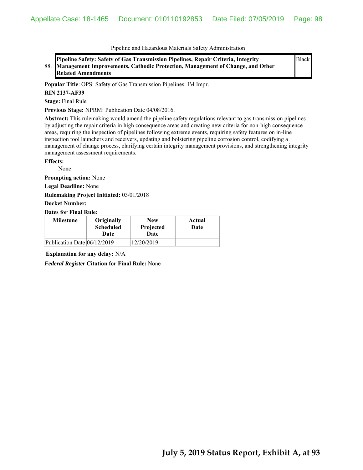88. **Pipeline Safety: Safety of Gas Transmission Pipelines, Repair Criteria, Integrity Management Improvements, Cathodic Protection, Management of Change, and Other Related Amendments**

Black

**Popular Title**: OPS: Safety of Gas Transmission Pipelines: IM Impr.

### **RIN 2137-AF39**

**Stage:** Final Rule

**Previous Stage:** NPRM: Publication Date 04/08/2016.

**Abstract:** This rulemaking would amend the pipeline safety regulations relevant to gas transmission pipelines by adjusting the repair criteria in high consequence areas and creating new criteria for non-high consequence areas, requiring the inspection of pipelines following extreme events, requiring safety features on in-line inspection tool launchers and receivers, updating and bolstering pipeline corrosion control, codifying a management of change process, clarifying certain integrity management provisions, and strengthening integrity management assessment requirements.

## **Effects:**

None

**Prompting action:** None

**Legal Deadline:** None

**Rulemaking Project Initiated:** 03/01/2018

#### **Docket Number:**

### **Dates for Final Rule:**

| <b>Milestone</b>            | Originally<br><b>Scheduled</b><br>Date | <b>New</b><br>Projected<br>Date | Actual<br>Date |
|-----------------------------|----------------------------------------|---------------------------------|----------------|
| Publication Date 06/12/2019 |                                        | 12/20/2019                      |                |

**Explanation for any delay:** N/A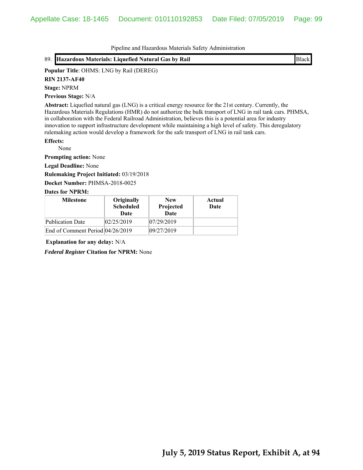89. **Hazardous Materials: Liquefied Natural Gas by Rail** Black

### **Popular Title**: OHMS: LNG by Rail (DEREG)

**RIN 2137-AF40**

**Stage:** NPRM

**Previous Stage:** N/A

**Abstract:** Liquefied natural gas (LNG) is a critical energy resource for the 21st century. Currently, the Hazardous Materials Regulations (HMR) do not authorize the bulk transport of LNG in rail tank cars. PHMSA, in collaboration with the Federal Railroad Administration, believes this is a potential area for industry innovation to support infrastructure development while maintaining a high level of safety. This deregulatory rulemaking action would develop a framework for the safe transport of LNG in rail tank cars.

# **Effects:**

None

**Prompting action:** None

**Legal Deadline:** None

**Rulemaking Project Initiated:** 03/19/2018

**Docket Number:** PHMSA-2018-0025

#### **Dates for NPRM:**

| <b>Milestone</b>                 | Originally<br><b>Scheduled</b><br>Date | <b>New</b><br>Projected<br>Date | Actual<br>Date |
|----------------------------------|----------------------------------------|---------------------------------|----------------|
| Publication Date                 | 02/25/2019                             | 07/29/2019                      |                |
| End of Comment Period 04/26/2019 |                                        | 09/27/2019                      |                |

**Explanation for any delay:** N/A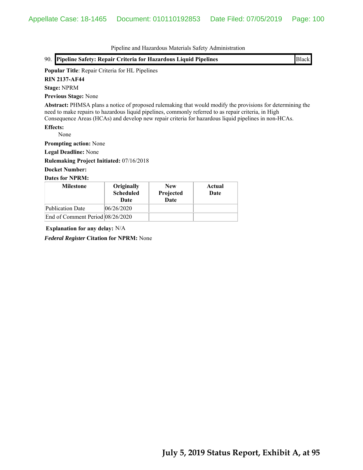|                                                                                                                                                                                                                                                                                                                            |                                        | Pipeline and Hazardous Materials Safety Administration |                |  |              |
|----------------------------------------------------------------------------------------------------------------------------------------------------------------------------------------------------------------------------------------------------------------------------------------------------------------------------|----------------------------------------|--------------------------------------------------------|----------------|--|--------------|
| 90. Pipeline Safety: Repair Criteria for Hazardous Liquid Pipelines                                                                                                                                                                                                                                                        |                                        |                                                        |                |  | <b>Black</b> |
| Popular Title: Repair Criteria for HL Pipelines                                                                                                                                                                                                                                                                            |                                        |                                                        |                |  |              |
| <b>RIN 2137-AF44</b>                                                                                                                                                                                                                                                                                                       |                                        |                                                        |                |  |              |
| <b>Stage: NPRM</b>                                                                                                                                                                                                                                                                                                         |                                        |                                                        |                |  |              |
| <b>Previous Stage: None</b>                                                                                                                                                                                                                                                                                                |                                        |                                                        |                |  |              |
| Abstract: PHMSA plans a notice of proposed rulemaking that would modify the provisions for determining the<br>need to make repairs to hazardous liquid pipelines, commonly referred to as repair criteria, in High<br>Consequence Areas (HCAs) and develop new repair criteria for hazardous liquid pipelines in non-HCAs. |                                        |                                                        |                |  |              |
| <b>Effects:</b><br>None                                                                                                                                                                                                                                                                                                    |                                        |                                                        |                |  |              |
| <b>Prompting action:</b> None                                                                                                                                                                                                                                                                                              |                                        |                                                        |                |  |              |
| <b>Legal Deadline: None</b>                                                                                                                                                                                                                                                                                                |                                        |                                                        |                |  |              |
| <b>Rulemaking Project Initiated: 07/16/2018</b>                                                                                                                                                                                                                                                                            |                                        |                                                        |                |  |              |
| <b>Docket Number:</b>                                                                                                                                                                                                                                                                                                      |                                        |                                                        |                |  |              |
| <b>Dates for NPRM:</b>                                                                                                                                                                                                                                                                                                     |                                        |                                                        |                |  |              |
| <b>Milestone</b>                                                                                                                                                                                                                                                                                                           | Originally<br><b>Scheduled</b><br>Date | <b>New</b><br>Projected<br>Date                        | Actual<br>Date |  |              |
| <b>Publication Date</b>                                                                                                                                                                                                                                                                                                    | 06/26/2020                             |                                                        |                |  |              |
| End of Comment Period 08/26/2020                                                                                                                                                                                                                                                                                           |                                        |                                                        |                |  |              |

**Explanation for any delay:** N/A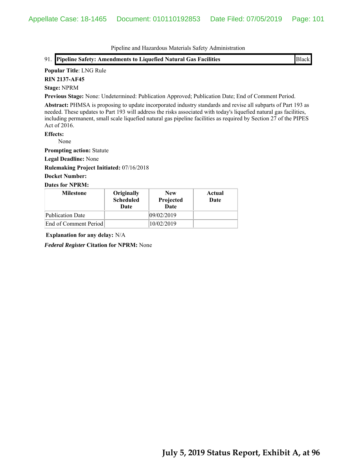#### **Popular Title**: LNG Rule

**RIN 2137-AF45**

## **Stage:** NPRM

**Previous Stage:** None: Undetermined: Publication Approved; Publication Date; End of Comment Period.

**Abstract:** PHMSA is proposing to update incorporated industry standards and revise all subparts of Part 193 as needed. These updates to Part 193 will address the risks associated with today's liquefied natural gas facilities, including permanent, small scale liquefied natural gas pipeline facilities as required by Section 27 of the PIPES Act of 2016.

# **Effects:**

None

**Prompting action:** Statute

**Legal Deadline:** None

**Rulemaking Project Initiated:** 07/16/2018

# **Docket Number:**

## **Dates for NPRM:**

| <b>Milestone</b>        | Originally<br><b>Scheduled</b><br>Date | <b>New</b><br>Projected<br>Date | Actual<br>Date |
|-------------------------|----------------------------------------|---------------------------------|----------------|
| <b>Publication Date</b> |                                        | 09/02/2019                      |                |
| End of Comment Period   |                                        | 10/02/2019                      |                |

**Explanation for any delay:** N/A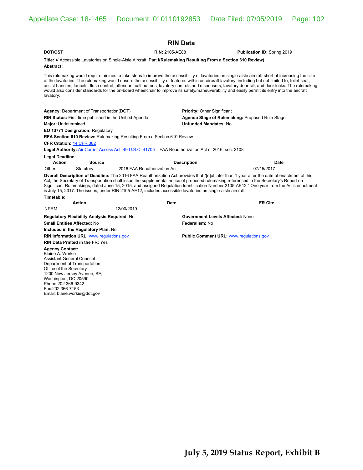| <b>RIN Data</b>                                                                                                                                                                                                                                                                                                                                                                                                                                                                                                                                     |                              |                                                                                                                                                                                                                                                                                                                                                                                                                                                                                                                                                                                                                        |  |  |  |  |
|-----------------------------------------------------------------------------------------------------------------------------------------------------------------------------------------------------------------------------------------------------------------------------------------------------------------------------------------------------------------------------------------------------------------------------------------------------------------------------------------------------------------------------------------------------|------------------------------|------------------------------------------------------------------------------------------------------------------------------------------------------------------------------------------------------------------------------------------------------------------------------------------------------------------------------------------------------------------------------------------------------------------------------------------------------------------------------------------------------------------------------------------------------------------------------------------------------------------------|--|--|--|--|
| DOT/OST                                                                                                                                                                                                                                                                                                                                                                                                                                                                                                                                             | <b>RIN: 2105-AE88</b>        | Publication ID: Spring 2019                                                                                                                                                                                                                                                                                                                                                                                                                                                                                                                                                                                            |  |  |  |  |
| Title: •* Accessible Lavatories on Single-Aisle Aircraft: Part I(Rulemaking Resulting From a Section 610 Review)<br>Abstract:                                                                                                                                                                                                                                                                                                                                                                                                                       |                              |                                                                                                                                                                                                                                                                                                                                                                                                                                                                                                                                                                                                                        |  |  |  |  |
| lavatory.                                                                                                                                                                                                                                                                                                                                                                                                                                                                                                                                           |                              | This rulemaking would require airlines to take steps to improve the accessibility of lavatories on single-aisle aircraft short of increasing the size<br>of the lavatories. The rulemaking would ensure the accessibility of features within an aircraft lavatory, including but not limited to, toilet seat,<br>assist handles, faucets, flush control, attendant call buttons, lavatory controls and dispensers, lavatory door sill, and door locks. The rulemaking<br>would also consider standards for the on-board wheelchair to improve its safety/maneuverability and easily permit its entry into the aircraft |  |  |  |  |
| <b>Agency:</b> Department of Transportation(DOT)                                                                                                                                                                                                                                                                                                                                                                                                                                                                                                    |                              | Priority: Other Significant                                                                                                                                                                                                                                                                                                                                                                                                                                                                                                                                                                                            |  |  |  |  |
| RIN Status: First time published in the Unified Agenda                                                                                                                                                                                                                                                                                                                                                                                                                                                                                              |                              | Agenda Stage of Rulemaking: Proposed Rule Stage                                                                                                                                                                                                                                                                                                                                                                                                                                                                                                                                                                        |  |  |  |  |
| Major: Undetermined                                                                                                                                                                                                                                                                                                                                                                                                                                                                                                                                 |                              | <b>Unfunded Mandates: No</b>                                                                                                                                                                                                                                                                                                                                                                                                                                                                                                                                                                                           |  |  |  |  |
| <b>EO 13771 Designation: Regulatory</b>                                                                                                                                                                                                                                                                                                                                                                                                                                                                                                             |                              |                                                                                                                                                                                                                                                                                                                                                                                                                                                                                                                                                                                                                        |  |  |  |  |
| RFA Section 610 Review: Rulemaking Resulting From a Section 610 Review                                                                                                                                                                                                                                                                                                                                                                                                                                                                              |                              |                                                                                                                                                                                                                                                                                                                                                                                                                                                                                                                                                                                                                        |  |  |  |  |
| CFR Citation: 14 CFR 382                                                                                                                                                                                                                                                                                                                                                                                                                                                                                                                            |                              |                                                                                                                                                                                                                                                                                                                                                                                                                                                                                                                                                                                                                        |  |  |  |  |
| Legal Authority: Air Carrier Access Act, 49 U.S.C. 41705 FAA Reauthorization Act of 2016, sec. 2108                                                                                                                                                                                                                                                                                                                                                                                                                                                 |                              |                                                                                                                                                                                                                                                                                                                                                                                                                                                                                                                                                                                                                        |  |  |  |  |
| Legal Deadline:<br><b>Action</b>                                                                                                                                                                                                                                                                                                                                                                                                                                                                                                                    |                              |                                                                                                                                                                                                                                                                                                                                                                                                                                                                                                                                                                                                                        |  |  |  |  |
| <b>Source</b><br>Other<br>Statutory                                                                                                                                                                                                                                                                                                                                                                                                                                                                                                                 | 2016 FAA Reauthorization Act | <b>Description</b><br>Date<br>07/15/2017                                                                                                                                                                                                                                                                                                                                                                                                                                                                                                                                                                               |  |  |  |  |
| Overall Description of Deadline: The 2016 FAA Reauthorization Act provides that "[n]ot later than 1 year after the date of enactment of this<br>Act, the Secretary of Transportation shall issue the supplemental notice of proposed rulemaking referenced in the Secretary's Report on<br>Significant Rulemakings, dated June 15, 2015, and assigned Regulation Identification Number 2105-AE12." One year from the Act's enactment<br>is July 15, 2017. The issues, under RIN 2105-AE12, includes accessible lavatories on single-aisle aircraft. |                              |                                                                                                                                                                                                                                                                                                                                                                                                                                                                                                                                                                                                                        |  |  |  |  |
| Timetable:                                                                                                                                                                                                                                                                                                                                                                                                                                                                                                                                          |                              |                                                                                                                                                                                                                                                                                                                                                                                                                                                                                                                                                                                                                        |  |  |  |  |
| <b>Action</b>                                                                                                                                                                                                                                                                                                                                                                                                                                                                                                                                       | Date                         | <b>FR Cite</b>                                                                                                                                                                                                                                                                                                                                                                                                                                                                                                                                                                                                         |  |  |  |  |
| <b>NPRM</b>                                                                                                                                                                                                                                                                                                                                                                                                                                                                                                                                         | 12/00/2019                   |                                                                                                                                                                                                                                                                                                                                                                                                                                                                                                                                                                                                                        |  |  |  |  |
| <b>Regulatory Flexibility Analysis Required: No</b>                                                                                                                                                                                                                                                                                                                                                                                                                                                                                                 |                              | <b>Government Levels Affected: None</b>                                                                                                                                                                                                                                                                                                                                                                                                                                                                                                                                                                                |  |  |  |  |
| <b>Small Entities Affected: No</b>                                                                                                                                                                                                                                                                                                                                                                                                                                                                                                                  |                              | Federalism: No                                                                                                                                                                                                                                                                                                                                                                                                                                                                                                                                                                                                         |  |  |  |  |
| Included in the Regulatory Plan: No<br><b>RIN Information URL: www.regulations.gov</b>                                                                                                                                                                                                                                                                                                                                                                                                                                                              |                              | <b>Public Comment URL: www.regulations.gov</b>                                                                                                                                                                                                                                                                                                                                                                                                                                                                                                                                                                         |  |  |  |  |
| <b>RIN Data Printed in the FR: Yes</b>                                                                                                                                                                                                                                                                                                                                                                                                                                                                                                              |                              |                                                                                                                                                                                                                                                                                                                                                                                                                                                                                                                                                                                                                        |  |  |  |  |
| <b>Agency Contact:</b><br><b>Blaine A. Workie</b><br><b>Assistant General Counsel</b><br>Department of Transportation<br>Office of the Secretary<br>1200 New Jersey Avenue, SE,<br>Washington, DC 20590<br>Phone: 202 366-9342<br>Fax:202 366-7153                                                                                                                                                                                                                                                                                                  |                              |                                                                                                                                                                                                                                                                                                                                                                                                                                                                                                                                                                                                                        |  |  |  |  |

Email: blane.workie@dot.gov